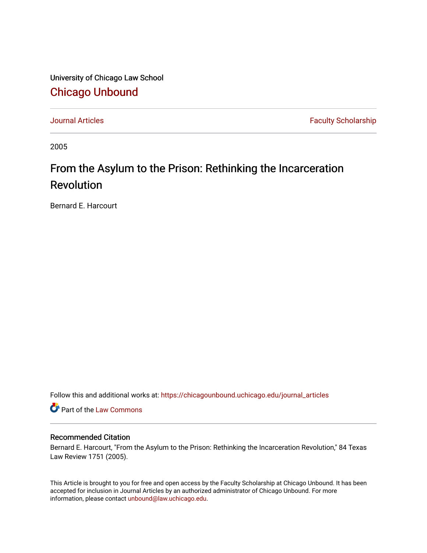University of Chicago Law School [Chicago Unbound](https://chicagounbound.uchicago.edu/)

[Journal Articles](https://chicagounbound.uchicago.edu/journal_articles) **Faculty Scholarship Faculty Scholarship** 

2005

# From the Asylum to the Prison: Rethinking the Incarceration Revolution

Bernard E. Harcourt

Follow this and additional works at: [https://chicagounbound.uchicago.edu/journal\\_articles](https://chicagounbound.uchicago.edu/journal_articles?utm_source=chicagounbound.uchicago.edu%2Fjournal_articles%2F1471&utm_medium=PDF&utm_campaign=PDFCoverPages) 

Part of the [Law Commons](http://network.bepress.com/hgg/discipline/578?utm_source=chicagounbound.uchicago.edu%2Fjournal_articles%2F1471&utm_medium=PDF&utm_campaign=PDFCoverPages)

## Recommended Citation

Bernard E. Harcourt, "From the Asylum to the Prison: Rethinking the Incarceration Revolution," 84 Texas Law Review 1751 (2005).

This Article is brought to you for free and open access by the Faculty Scholarship at Chicago Unbound. It has been accepted for inclusion in Journal Articles by an authorized administrator of Chicago Unbound. For more information, please contact [unbound@law.uchicago.edu](mailto:unbound@law.uchicago.edu).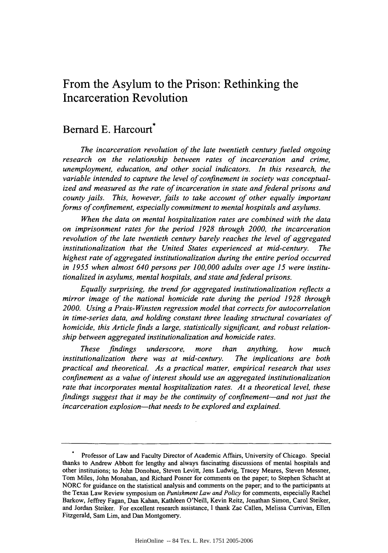## From the Asylum to the Prison: Rethinking the Incarceration Revolution

## Bernard E. Harcourt<sup>\*</sup>

*The incarceration revolution of the late twentieth century fueled ongoing research on the relationship between rates of incarceration and crime, unemployment, education, and other social indicators. In this research, the variable intended to capture the level of confinement in society was conceptualized and measured as the rate of incarceration in state and federal prisons and county jails. This, however, fails to take account of other equally important forms of confinement, especially commitment to mental hospitals and asylums.*

*When the data on mental hospitalization rates are combined with the data on imprisonment rates for the period 1928 through 2000, the incarceration revolution of the late twentieth century barely reaches the level of aggregated institutionalization that the United States experienced at mid-century. The highest rate of aggregated institutionalization during the entire period occurred in 1955 when almost 640 persons per 100,000 adults over age 15 were institutionalized in asylums, mental hospitals, and state and federal prisons.*

*Equally surprising, the trend for aggregated institutionalization reflects a mirror image of the national homicide rate during the period 1928 through 2000. Using a Prais-Winsten regression model that corrects for autocorrelation in time-series data, and holding constant three leading structural covariates of homicide, this Article finds a large, statistically significant, and robust relationship between aggregated institutionalization and homicide rates.*

*These findings underscore, more than anything, how much institutionalization there was at mid-century. The implications are both practical and theoretical. As a practical matter, empirical research that uses confinement as a value of interest should use an aggregated institutionalization rate that incorporates mental hospitalization rates. At a theoretical level, these findings suggest that it may be the continuity of confinement-and not just the incarceration explosion-that needs to be explored and explained.*

Professor of Law and Faculty Director of Academic Affairs, University of Chicago. Special thanks to Andrew Abbott for lengthy and always fascinating discussions of mental hospitals and other institutions; to John Donohue, Steven Levitt, Jens Ludwig, Tracey Meares, Steven Messner, Tom Miles, John Monahan, and Richard Posner for comments on the paper; to Stephen Schacht at NORC for guidance on the statistical analysis and comments on the paper; and to the participants at the Texas Law Review symposium on *Punishment Law and Policy* for comments, especially Rachel Barkow, Jeffrey Fagan, Dan Kahan, Kathleen O'Neill, Kevin Reitz, Jonathan Simon, Carol Steiker, and Jordan Steiker. For excellent research assistance, I thank Zac Callen, Melissa Currivan, Ellen Fitzgerald, Sam Lim, and Dan Montgomery.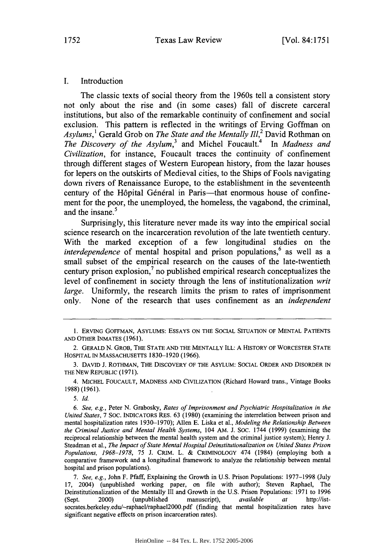I. Introduction

The classic texts of social theory from the 1960s tell a consistent story not only about the rise and (in some cases) fall of discrete carceral institutions, but also of the remarkable continuity of confinement and social exclusion. This pattern is reflected in the writings of Erving Goffman on *Asylums,1* Gerald Grob on *The State and the Mentally 11,2* David Rothman on *The Discovery of the Asylum, <sup>3</sup>*and Michel Foucault.4 In *Madness and Civilization,* for instance, Foucault traces the continuity of confinement through different stages of Western European history, from the lazar houses for lepers on the outskirts of Medieval cities, to the Ships of Fools navigating down rivers of Renaissance Europe, to the establishment in the seventeenth century of the Hôpital Général in Paris—that enormous house of confinement for the poor, the unemployed, the homeless, the vagabond, the criminal, and the insane.<sup>5</sup>

Surprisingly, this literature never made its way into the empirical social science research on the incarceration revolution of the late twentieth century. With the marked exception of a few longitudinal studies on the *interdependence* of mental hospital and prison populations, $6$  as well as a small subset of the empirical research on the causes of the late-twentieth century prison explosion, $\overline{7}$  no published empirical research conceptualizes the level of confinement in society through the lens of institutionalization *writ large.* Uniformly, the research limits the prism to rates of imprisonment only. None of the research that uses confinement as an *independent*

4. MICHEL FOUCAULT, MADNESS AND CIVILIZATION (Richard Howard trans., Vintage Books 1988) (1961).

*7. See, e.g.,* John F. Pfaff, Explaining the Growth in U.S. Prison Populations: 1977-1998 (July 17, 2004) (unpublished working paper, on file with author); Steven Raphael, The Deinstitutionalization of the Mentally Ill and Growth in the U.S. Prison Populations: 1971 to 1996 (Sept. 2000) (unpublished manuscript), *available at* http://istsocrates.berkeley.edu/~raphael/raphael2000.pdf (finding that mental hospitalization rates have significant negative effects on prison incarceration rates).

<sup>1.</sup> ERVING GOFFMAN, ASYLUMS: ESSAYS ON THE SOCIAL SITUATION OF MENTAL PATIENTS AND OTHER INMATES (1961).

<sup>2.</sup> GERALD N. GROB, THE STATE AND THE MENTALLY ILL: A HISTORY OF WORCESTER STATE HOSPITAL **IN** MASSACHUSETTS 1830-1920 (1966).

<sup>3.</sup> DAVID J. ROTHMAN, THE DISCOVERY OF THE ASYLUM: SOCIAL ORDER AND DISORDER IN THE NEW REPUBLIC (1971).

*<sup>5.</sup> Id.*

*<sup>6.</sup> See, e.g.,* Peter N. Grabosky, *Rates of Imprisonment and Psychiatric Hospitalization in the United States,* 7 SOC. INDICATORS RES. 63 (1980) (examining the interrelation between prison and mental hospitalization rates 1930-1970); Allen E. Liska et al., *Modeling the Relationship Between the Criminal Justice and Mental Health Systems,* 104 AM. J. SOC. 1744 (1999) (examining the reciprocal relationship between the mental health system and the criminal justice system); Henry J. Steadman et al., *The Impact of State Mental Hospital Deinstitutionalization on United States Prison Populations, 1968-1978,* 75 J. CRIM. L. & CRIMINOLOGY 474 (1984) (employing both a comparative framework and a longitudinal framework to analyze the relationship between mental hospital and prison populations).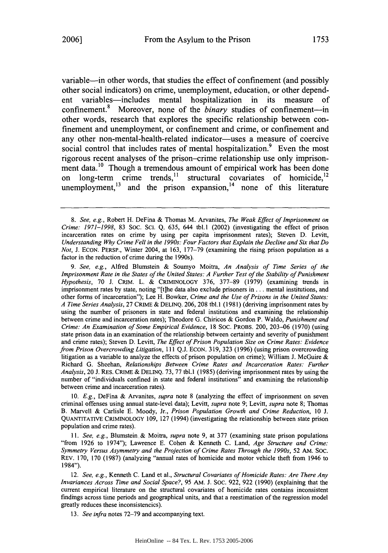variable—in other words, that studies the effect of confinement (and possibly other social indicators) on crime, unemployment, education, or other dependent variables-includes mental hospitalization in its measure of confinement.<sup>8</sup> Moreover, none of the *binary* studies of confinement-in other words, research that explores the specific relationship between confinement and unemployment, or confinement and crime, or confinement and any other non-mental-health-related indicator-uses a measure of coercive social control that includes rates of mental hospitalization.<sup>9</sup> Even the most rigorous recent analyses of the prison-crime relationship use only imprisonment data.<sup>10</sup> Though a tremendous amount of empirical work has been done long-term crime trends,<sup>11</sup> structural covariates of homicide,<sup>12</sup> unemployment, $13$  and the prison expansion, $14$  none of this literature

*9. See, e.g.,* Alfred Blumstein & Soumyo Moitra, *An Analysis of Time Series of the Imprisonment Rate in the States of the United States: A Further Test of the Stability of Punishment Hypothesis,* **70** J. CRIM. L. & CRIMINOLOGY 376, 377-89 (1979) (examining trends in imprisonment rates **by** state, noting "(tihe data also exclude prisoners in **...** mental institutions, and other forms of incarceration"); Lee H. Bowker, *Crime and the Use of Prisons in the United States: A Time Series Analysis,* 27 CRIME & DELINQ. 206, **208** tbl. **1** (1981) (deriving imprisonment rates **by** using the number of prisoners in state and federal institutions and examining the relationship between crime and incarceration rates); Theodore G. Chiricos & Gordon P. Waldo, *Punishment and Crime: An Examination of Some Empirical Evidence,* **18** SOC. PROBS. 200, 203-06 (1970) (using state prison data in an examination of the relationship between certainty and severity of punishment and crime rates); Steven D. Levitt, *The Effect of Prison Population Size on Crime Rates: Evidence from Prison Overcrowding Litigation,* **111** Q.J. ECON. 319, **323** (1996) (using prison overcrowding litigation as a variable to analyze the effects of prison population on crime); William J. McGuire & Richard G. Sheehan, *Relationships Between Crime Rates and Incarceration Rates: Further Analysis,* 20 **J.** RES. CRIME & DELINQ. **73,** 77 tbl.l (1985) (deriving imprisonment rates **by** using the number of "individuals confined in state and federal institutions" and examining the relationship between crime and incarceration rates).

**10.** *E.g.,* DeFina & Arvanites, *supra* note **8** (analyzing the effect of imprisonment on seven criminal offenses using annual state-level data); Levitt, *supra* note 9; Levitt, *supra* note **8;** Thomas B. Marvell & Carlisle E. Moody, Jr., *Prison Population Growth and Crime Reduction,* **10** J. QUANTITATIVE CRIMINOLOGY 109, **127** (1994) (investigating the relationship between state prison population and crime rates).

*11. See, e.g.,* Blumstein & Moitra, *supra* note 9, at **377** (examining state prison populations "from 1926 to 1974"); Lawrence E. Cohen & Kenneth C. Land, *Age Structure and Crime:* Symmetry Versus Asymmetry and the Projection of Crime Rates Through the 1990s, 52 AM. Soc. REv. 170, **170** (1987) (analyzing "annual rates of homicide and motor vehicle theft from 1946 to 1984").

12. *See, e.g.,* Kenneth C. Land et al., *Structural Covariates of Homicide Rates: Are There Any Invariances Across Time and Social Space?,* 95 AM. J. Soc. 922, 922 (1990) (explaining that the current empirical literature on the structural covariates of homicide rates contains inconsistent findings across time periods and geographical units, and that a reestimation of the regression model greatly reduces these inconsistencics).

*13. See infra* notes **72-79** and accompanying text.

*<sup>8.</sup> See, e.g.,* Robert H. DeFina & Thomas M. Arvanites, *The Weak Effect of Imprisonment on Crime: 1971-1998,* 83 Soc. **Sci.** Q. 635, 644 tbl.1 (2002) (investigating the effect of prison incarceration rates on crime **by** using per capita imprisonment rates); Steven D. Levitt, *Understanding Why Crime Fell in the 1990s: Four Factors that Explain the Decline and Six that Do Not,* J. ECON. PERSP., Winter 2004, at 163, 177-79 (examining the rising prison population as a factor in the reduction of crime during the 1990s).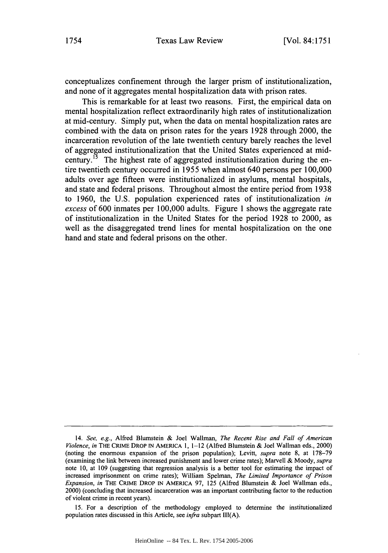conceptualizes confinement through the larger prism of institutionalization, and none of it aggregates mental hospitalization data with prison rates.

This is remarkable for at least two reasons. First, the empirical data on mental hospitalization reflect extraordinarily high rates of institutionalization at mid-century. Simply put, when the data on mental hospitalization rates are combined with the data on prison rates for the years 1928 through 2000, the incarceration revolution of the late twentieth century barely reaches the level of aggregated institutionalization that the United States experienced at midcentury.<sup> $15$ </sup> The highest rate of aggregated institutionalization during the entire twentieth century occurred in 1955 when almost 640 persons per 100,000 adults over age fifteen were institutionalized in asylums, mental hospitals, and state and federal prisons. Throughout almost the entire period from 1938 to 1960, the U.S. population experienced rates of institutionalization *in excess* of 600 inmates per 100,000 adults. Figure 1 shows the aggregate rate of institutionalization in the United States for the period 1928 to 2000, as well as the disaggregated trend lines for mental hospitalization on the one hand and state and federal prisons on the other.

15. For a description of the methodology employed to determine the institutionalized population rates discussed in this Article, see *infra* subpart **Ill(A).**

<sup>14.</sup> *See, e.g.,* Alfred Blumstein & Joel Waltman, *The Recent Rise and Fall of American Violence, in* THE CRIME DROP IN AMERICA **1,** 1-12 (Alfred Blumstein & Joel Waltman eds., 2000) (noting the enormous expansion of the prison population); Levitt, *supra* note 8, at 178-79 (examining the link between increased punishment and lower crime rates); Marvell & Moody, *supra* note 10, at 109 (suggesting that regression analysis is a better tool for estimating the impact of increased imprisonment on crime rates); William Spehnan, *The Limited Importance of Prison Expansion, in* THE CRIME DROP **IN** AMERICA 97, 125 (Alfred Blumstein & Joel Wallman eds., 2000) (concluding that increased incarceration was an important contributing factor to the reduction of violent crime in recent years).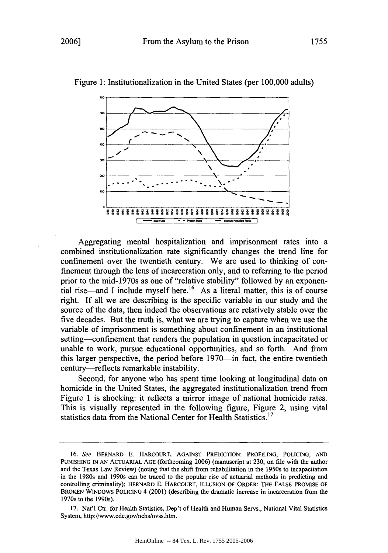



Aggregating mental hospitalization and imprisonment rates into a combined institutionalization rate significantly changes the trend line for confinement over the twentieth century. We are used to thinking of confinement through the lens of incarceration only, and to referring to the period prior to the mid-1970s as one of "relative stability" followed by an exponential rise—and I include myself here.<sup>16</sup> As a literal matter, this is of course right. If all we are describing is the specific variable in our study and the source of the data, then indeed the observations are relatively stable over the five decades. But the truth is, what we are trying to capture when we use the variable of imprisonment is something about confinement in an institutional setting—confinement that renders the population in question incapacitated or unable to work, pursue educational opportunities, and so forth. And from this larger perspective, the period before 1970—in fact, the entire twentieth century-reflects remarkable instability.

Second, for anyone who has spent time looking at longitudinal data on homicide in the United States, the aggregated institutionalization trend from Figure 1 is shocking: it reflects a mirror image of national homicide rates. This is visually represented in the following figure, Figure 2, using vital statistics data from the National Center for Health Statistics.<sup>17</sup>

<sup>16.</sup> See BERNARD E. HARCOURT, AGAINST PREDICTION: PROFILING, POLICING, AND PUNISHING IN AN ACTUARIAL AGE (forthcoming 2006) (manuscript at 230, on file with the author and the Texas Law Review) (noting that the shift from rehabilitation in the 1950s to incapacitation in the 1980s and 1990s can be traced to the popular rise of actuarial methods in predicting and controlling criminality); BERNARD E. HARCOURT, ILLUSION OF ORDER: THE FALSE PROMISE OF BROKEN WINDOWS POLICING 4 (2001) (describing the dramatic increase in incarceration from the 1970s to the 1990s).

<sup>17.</sup> Nat'l Ctr. for Health Statistics, Dep't of Health and Human Servs., National Vital Statistics System, http://www.cdc.gov/nchs/nvss.htin.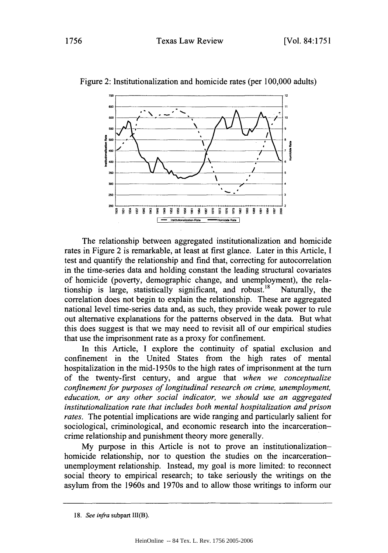

Figure 2: Institutionalization and homicide rates (per 100,000 adults)

The relationship between aggregated institutionalization and homicide rates in Figure 2 is remarkable, at least at first glance. Later in this Article, I test and quantify the relationship and find that, correcting for autocorrelation in the time-series data and holding constant the leading structural covariates of homicide (poverty, demographic change, and unemployment), the relationship is large, statistically significant, and robust.<sup>18</sup> Naturally, the correlation does not begin to explain the relationship. These are aggregated national level time-series data and, as such, they provide weak power to rule out alternative explanations for the patterns observed in the data. But what this does suggest is that we may need to revisit all of our empirical studies that use the imprisonment rate as a proxy for confinement.

In this Article, I explore the continuity of spatial exclusion and confinement in the United States from the high rates of mental hospitalization in the mid-1950s to the high rates of imprisonment at the turn of the twenty-first century, and argue that *when we conceptualize confinement for purposes of longitudinal research on crime, unemployment, education, or any other social indicator, we should use an aggregated institutionalization rate that includes both mental hospitalization and prison rates.* The potential implications are wide ranging and particularly salient for sociological, criminological, and economic research into the incarcerationcrime relationship and punishment theory more generally.

My purpose in this Article is not to prove an institutionalizationhomicide relationship, nor to question the studies on the incarcerationunemployment relationship. Instead, my goal is more limited: to reconnect social theory to empirical research; to take seriously the writings on the asylum from the 1960s and 1970s and to allow those writings to inform our

**<sup>18.</sup>** *See infra* subpart **111(B).**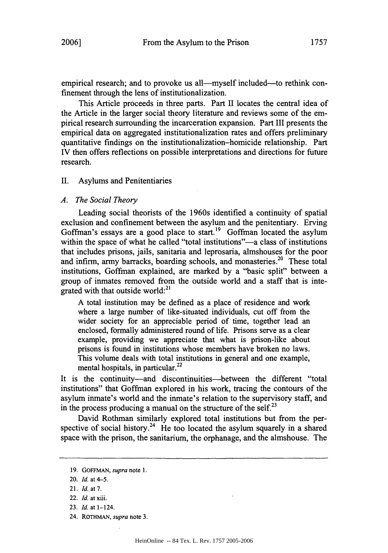empirical research; and to provoke us all—myself included—to rethink confinement through the lens of institutionalization.

This Article proceeds in three parts. Part II locates the central idea of the Article in the larger social theory literature and reviews some of the empirical research surrounding the incarceration expansion. Part III presents the empirical data on aggregated institutionalization rates and offers preliminary quantitative findings on the institutionalization-homicide relationship. Part IV then offers reflections on possible interpretations and directions for future research.

## II. Asylums and Penitentiaries

## *A. The Social Theory*

Leading social theorists of the 1960s identified a continuity of spatial exclusion and confinement between the asylum and the penitentiary. Erving Goffman's essays are a good place to start.<sup>19</sup> Goffman located the asylum within the space of what he called "total institutions"—a class of institutions that includes prisons, jails, sanitaria and leprosaria, almshouses for the poor and infirm, army barracks, boarding schools, and monasteries.<sup>20</sup> These total institutions, Goffman explained, are marked by a "basic split" between a group of inmates removed from the outside world and a staff that is integrated with that outside world:<sup>21</sup>

A total institution may be defined as a place of residence and work where a large number of like-situated individuals, cut off from the wider society for an appreciable period of time, together lead an enclosed, formally administered round of life. Prisons serve as a clear example, providing we appreciate that what is prison-like about prisons is found in institutions whose members have broken no laws. This volume deals with total institutions in general and one example, mental hospitals, in particular.<sup>22</sup>

It is the continuity-and discontinuities-between the different "total institutions" that Goffman explored in his work, tracing the contours of the asylum inmate's world and the inmate's relation to the supervisory staff, and in the process producing a manual on the structure of the self.<sup>23</sup>

David Rothman similarly explored total institutions but from the perspective of social history.<sup>24</sup> He too located the asylum squarely in a shared space with the prison, the sanitarium, the orphanage, and the almshouse. The

<sup>19.</sup> GOFFMAN, *supra* note 1.

<sup>20.</sup> *Id.* at 4-5.

<sup>21.</sup> *Id.* at 7.

<sup>22.</sup> *Id.* at xiii.

<sup>23.</sup> *Id.* at 1-124.

<sup>24.</sup> ROTHMAN, *supra* note **3.**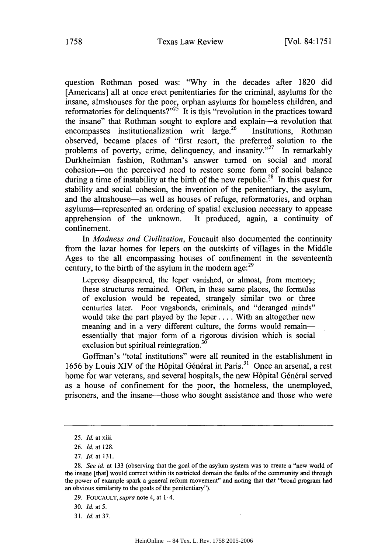question Rothman posed was: "Why in the decades after 1820 did [Americans] all at once erect penitentiaries for the criminal, asylums for the insane, almshouses for the poor, orphan asylums for homeless children, and reformatories for delinquents? $n^{25}$  It is this "revolution in the practices toward the insane" that Rothman sought to explore and explain-a revolution that encompasses institutionalization writ large.<sup>26</sup> Institutions, Rothman observed, became places of "first resort, the preferred solution to the problems of poverty, crime, delinquency, and insanity. $2^{27}$  In remarkably Durkheimian fashion, Rothman's answer turned on social and moral cohesion--on the perceived need to restore some form of social balance during a time of instability at the birth of the new republic.<sup>28</sup> In this quest for stability and social cohesion, the invention of the penitentiary, the asylum, and the almshouse—as well as houses of refuge, reformatories, and orphan asylums-represented an ordering of spatial exclusion necessary to appease apprehension of the unknown. It produced, again, a continuity of confinement.

In *Madness and Civilization,* Foucault also documented the continuity from the lazar homes for lepers on the outskirts of villages in the Middle Ages to the all encompassing houses of confinement in the seventeenth century, to the birth of the asylum in the modern age: $^{29}$ 

Leprosy disappeared, the leper vanished, or almost, from memory; these structures remained. Often, in these same places, the formulas of exclusion would be repeated, strangely similar two or three centuries later. Poor vagabonds, criminals, and "deranged minds" would take the part played by the leper .... With an altogether new meaning and in a very different culture, the forms would remainessentially that major form of a rigorous division which is social exclusion but spiritual reintegration.<sup>30</sup>

Goffman's "total institutions" were all reunited in the establishment in 1656 by Louis XIV of the Hôpital Général in Paris.<sup>31</sup> Once an arsenal, a rest home for war veterans, and several hospitals, the new Hôpital Général served as a house of confinement for the poor, the homeless, the unemployed, prisoners, and the insane-those who sought assistance and those who were

<sup>25.</sup> *Id.* at xiii.

<sup>26.</sup> *Id.* at 128.

<sup>27.</sup> *Id.* at 131.

<sup>28.</sup> *See id.* at 133 (observing that the goal of the asylum system was to create a "new world of the insane [that] would correct within its restricted domain the faults of the community and through the power of example spark a general reform movement" and noting that that "broad program had an obvious similarity to the goals of the penitentiary").

<sup>29.</sup> FOUCAULT, *supra* note 4, at 1-4.

<sup>30.</sup> *Id.* at 5.

<sup>31.</sup> *Id.* at **37.**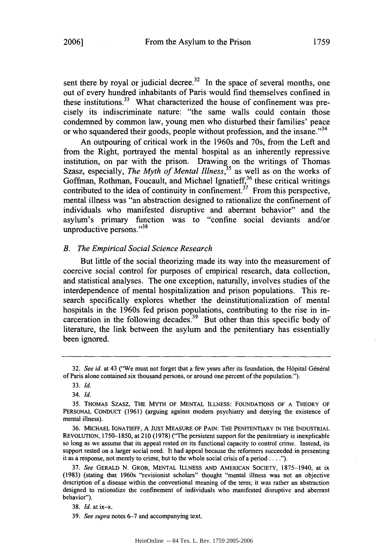sent there by royal or judicial decree.<sup>32</sup> In the space of several months, one out of every hundred inhabitants of Paris would find themselves confined in these institutions.<sup>33</sup> What characterized the house of confinement was precisely its indiscriminate nature: "the same walls could contain those condemned by common law, young men who disturbed their families' peace or who squandered their goods, people without profession, and the insane."<sup>34</sup>

An outpouring of critical work in the 1960s and 70s, from the Left and from the Right, portrayed the mental hospital as an inherently repressive institution, on par with the prison. Drawing on the writings of Thomas Szasz, especially, *The Myth of Mental Illness*,<sup>35</sup> as well as on the works of Goffman, Rothman, Foucault, and Michael Ignatieff,<sup>36</sup> these critical writings contributed to the idea of continuity in confinement.<sup>37</sup> From this perspective, mental illness was "an abstraction designed to rationalize the confinement of individuals who manifested disruptive and aberrant behavior" and the asylum's primary function was to "confine social deviants and/or unproductive persons."38

## *B. The Empirical Social Science Research*

But little of the social theorizing made its way into the measurement of coercive social control for purposes of empirical research, data collection, and statistical analyses. The one exception, naturally, involves studies of the interdependence of mental hospitalization and prison populations. This research specifically explores whether the deinstitutionalization of mental hospitals in the 1960s fed prison populations, contributing to the rise in incarceration in the following decades.<sup>39</sup> But other than this specific body of literature, the link between the asylum and the penitentiary has essentially been ignored.

<sup>32.</sup> *See id.* at 43 ("We must not forget that a few years after its foundation, the Hôpital Général of Paris alone contained six thousand persons, or around one percent of the population.").

<sup>33.</sup> *Id.*

<sup>34.</sup> *Id.*

<sup>35.</sup> THOMAS SZASZ, THE MYTH OF MENTAL ILLNESS: FOUNDATIONS OF A THEORY OF PERSONAL CONDUCT (1961) (arguing against modern psychiatry and denying the existence of mental illness).

<sup>36.</sup> MICHAEL IGNATIEFF, A JUST MEASURE OF PAIN: THE PENITENTIARY IN THE INDUSTRIAL REVOLUTION, 1750-1850, at 210 (1978) ("The persistent support for the penitentiary is inexplicable so long as we assume that its appeal rested on its functional capacity to control crime. Instead, its support rested on a larger social need. It had appeal because the reformers succeeded in presenting it as a response, not merely to crime, but to the whole social crisis of a period **... ").**

<sup>37.</sup> *See* GERALD N. GROB, MENTAL ILLNESS AND AMERICAN SOCIETY, 1875-1940, at ix (1983) (stating that 1960s "revisionist scholars" thought "mental illness was not an objective description of a disease within the conventional meaning of the term; it was rather an abstraction designed to rationalize the confinement of individuals who manifested disruptive and aberrant behavior").

<sup>38.</sup> *Id.* at ix-x.

<sup>39.</sup> *See supra* notes 6-7 and accompanying text.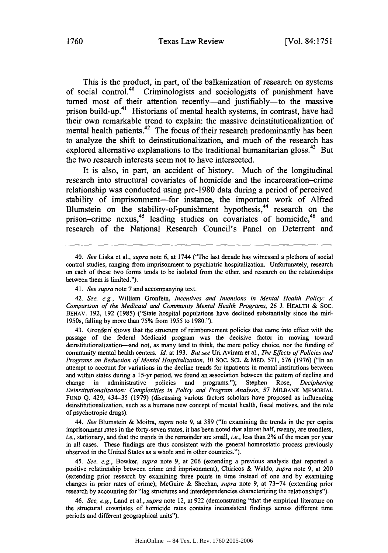This is the product, in part, of the balkanization of research on systems of social control.<sup>40</sup> Criminologists and sociologists of punishment have turned most of their attention recently-and justifiably-to the massive prison build-up.<sup>41</sup> Historians of mental health systems, in contrast, have had their own remarkable trend to explain: the massive deinstitutionalization of mental health patients.<sup>42</sup> The focus of their research predominantly has been to analyze the shift to deinstitutionalization, and much of the research has explored alternative explanations to the traditional humanitarian gloss.<sup>43</sup> But the two research interests seem not to have intersected.

It is also, in part, an accident of history. Much of the longitudinal research into structural covariates of homicide and the incarceration-crime relationship was conducted using pre-1980 data during a period of perceived stability of imprisonment-for instance, the important work of Alfred Blumstein on the stability-of-punishment hypothesis,<sup>44</sup> research on the prison-crime nexus,<sup>45</sup> leading studies on covariates of homicide,<sup>46</sup> and research of the National Research Council's Panel on Deterrent and

*44. See* Blumstein & Moitra, *supra* note 9, at 389 ("In examining the trends in the per capita imprisonment rates in the forty-seven states, it has been noted that almost half, twenty, are trendless, i.e., stationary, and that the trends in the remainder are small, *i.e.,* less than 2% of the mean per year in all cases. These findings are thus consistent with the general homeostatic process previously observed in the United States as a whole and in other countries.").

*45. See, e.g.,* Bowker, *supra* note 9, at 206 (extending a previous analysis that reported a positive relationship between crime and imprisonment); Chiricos & Waldo, *supra* note 9, at 200 (extending prior research by examining three points in time instead of one and by examining changes in prior rates of crime); McGuire & Sheehan, *supra* note 9, at 73-74 (extending prior research by accounting for "lag structures and interdependencies characterizing the relationships").

46. *See, e.g.,* Land et al., *supra* note 12, at 922 (demonstrating "that the empirical literature on the structural covariates of homicide rates contains inconsistent findings across different time periods and different geographical units").

<sup>40.</sup> *See* Liska et al., *supra* note 6, at 1744 ("The last decade has witnessed a plethora of social control studies, ranging from imprisonment to psychiatric hospitalization. Unfortunately, research on each of these two forms tends to be isolated from the other, and research on the relationships between them is limited.").

*<sup>41.</sup> See supra* note 7 and accompanying text.

<sup>42.</sup> *See, e.g.,* William Gronfein, *Incentives and Intentions in Mental Health Policy: A Comparison of the Medicaid and Community Mental Health Programs,* 26 **J.** HEALTH & Soc. BEHAV. 192, 192 (1985) ("State hospital populations have declined substantially since the mid-1950s, falling by more than 75% from 1955 to 1980.").

<sup>43.</sup> Gronfein shows that the structure of reimbursement policies that came into effect with the passage of the federal Medicaid program was the decisive factor in moving toward deinstitutionalization-and not, as many tend to think, the mere policy choice, nor the funding of community mental health centers. *Id.* at 193. *But see* Uri Aviram et al., *The Effects of Policies and Programs on Reduction of Mental Hospitalization,* 10 SOC. **SCI.** & MED. 571, 576 (1976) ("In an attempt to account for variations in the decline trends for inpatients in mental institutions between and within states during a 15-yr period, we found an association between the pattern of decline and change in administrative policies and programs."); Stephen Rose, *Deciphering Deinstitutionalization: Complexities in Policy and Program Analysis,* 57 MILBANK MEMORIAL FUND Q. 429, 434-35 (1979) (discussing various factors scholars have proposed as influencing deinstitutionalization, such as a humane new concept of mental health, fiscal motives, and the role of psychotropic drugs).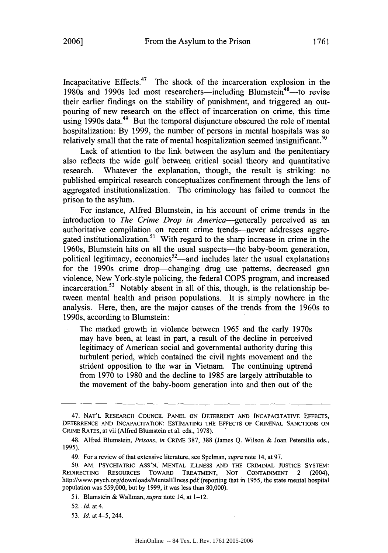Incapacitative Effects. $47$  The shock of the incarceration explosion in the 1980s and 1990s led most researchers—including Blumstein<sup>48</sup>—to revise their earlier findings on the stability of punishment, and triggered an outpouring of new research on the effect of incarceration on crime, this time using 1990s data.<sup>49</sup> But the temporal disjuncture obscured the role of mental hospitalization: By 1999, the number of persons in mental hospitals was so relatively small that the rate of mental hospitalization seemed insignificant.<sup>50</sup>

Lack of attention to the link between the asylum and the penitentiary also reflects the wide gulf between critical social theory and quantitative research. Whatever the explanation, though, the result is striking: no published empirical research conceptualizes confinement through the lens of aggregated institutionalization. The criminology has failed to connect the prison to the asylum.

For instance, Alfred Blumstein, in his account of crime trends in the introduction to *The Crime Drop in America-generally* perceived as an authoritative compilation on recent crime trends-never addresses aggregated institutionalization.<sup>51</sup> With regard to the sharp increase in crime in the 1960s, Blumstein hits on all the usual suspects—the baby-boom generation, political legitimacy, economics<sup>52</sup>—and includes later the usual explanations for the 1990s crime drop--changing drug use patterns, decreased gnn violence, New York-style policing, the federal COPS program, and increased incarceration.<sup>53</sup> Notably absent in all of this, though, is the relationship between mental health and prison populations. It is simply nowhere in the analysis. Here, then, are the major causes of the trends from the 1960s to 1990s, according to Blumstein:

The marked growth in violence between 1965 and the early 1970s may have been, at least in part, a result of the decline in perceived legitimacy of American social and governmental authority during this turbulent period, which contained the civil rights movement and the strident opposition to the war in Vietnam. The continuing uptrend from 1970 to 1980 and the decline to 1985 are largely attributable to the movement of the baby-boom generation into and then out of the

<sup>47.</sup> **NAT'L** RESEARCH **COUNCIL PANEL** ON DETERRENT **AND** INCAPACITATIVE **EFFECTS,** DETERRENCE **AND INCAPACITATION: ESTIMATING** THE **EFFECTS** OF CRIMINAL **SANCTIONS ON** CRIME RATES, at vii (Alfred Blumstein et al. eds., 1978).

<sup>48.</sup> Alfred Blumstein, *Prisons, in* CRIME 387, 388 (James Q. Wilson & Joan Petersilia eds., 1995).

<sup>49.</sup> For a review of that extensive literature, see Spelman, *supra* note 14, at 97.

<sup>50.</sup> AM. PSYCHIATRIC ASS'N, MENTAL ILLNESS AND THE CRIMINAL JUSTICE SYSTEM: REDIRECTING RESOURCES TowARD TREATMENT, NOT CONTAINMENT 2 (2004), http://www.psych.org/downloads/Mentallllness.pdf (reporting that in 1955, the state mental hospital population was 559,000, but by 1999, it was less than 80,000).

<sup>51.</sup> Blumstein & Wallman, *supra* note 14, at 1-12.

<sup>52.</sup> *Id.* at 4.

<sup>53.</sup> *Id.* at 4-5,244.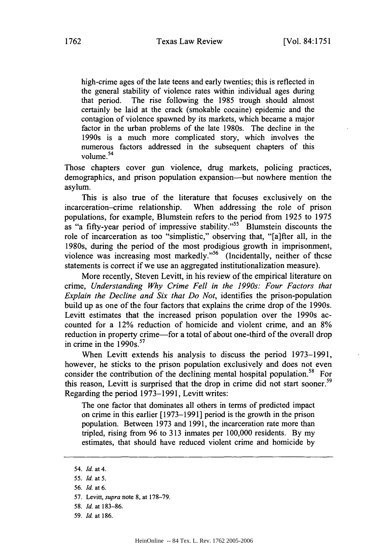high-crime ages of the late teens and early twenties; this is reflected in the general stability of violence rates within individual ages during that period. The rise following the 1985 trough should almost certainly be laid at the crack (smokable cocaine) epidemic and the contagion of violence spawned by its markets, which became a major factor in the urban problems of the late 1980s. The decline in the 1990s is a much more complicated story, which involves the numerous factors addressed in the subsequent chapters of this numerous<br>volume.<sup>54</sup>

Those chapters cover gun violence, drug markets, policing practices, demographics, and prison population expansion—but nowhere mention the asylum.

This is also true of the literature that focuses exclusively on the incarceration-crime relationship. When addressing the role of prison populations, for example, Blumstein refers to the period from 1925 to 1975 as "a fifty-year period of impressive stability."<sup>55</sup> Blumstein discounts the role of incarceration as too "simplistic," observing that, "[a]fter all, in the 1980s, during the period of the most prodigious growth in imprisonment, violence was increasing most markedly."<sup>56</sup> (Incidentally, neither of these statements is correct if we use an aggregated institutionalization measure).

More recently, Steven Levitt, in his review of the empirical literature on crime, *Understanding Why Crime Fell in the 1990s: Four Factors that Explain the Decline and Six that Do Not,* identifies the prison-population build up as one of the four factors that explains the crime drop of the 1990s. Levitt estimates that the increased prison population over the 1990s accounted for a 12% reduction of homicide and violent crime, and an 8% reduction in property crime—for a total of about one-third of the overall drop in crime in the 1990s.<sup>57</sup>

When Levitt extends his analysis to discuss the period 1973-1991, however, he sticks to the prison population exclusively and does not even consider the contribution of the declining mental hospital population.<sup>58</sup> For this reason, Levitt is surprised that the drop in crime did not start sooner.<sup>59</sup> Regarding the period 1973-1991, Levitt writes:

The one factor that dominates all others in terms of predicted impact on crime in this earlier [1973-1991] period is the growth in the prison population. Between 1973 and 1991, the incarceration rate more than tripled, rising from 96 to 313 inmates per 100,000 residents. By my estimates, that should have reduced violent crime and homicide by

<sup>54.</sup> *Id.* at 4.

*<sup>55.</sup> Id.* at 5.

<sup>56.</sup> *Id.* at 6.

<sup>57.</sup> Levitt, *supra* note 8, at 178-79.

<sup>58.</sup> *Id.* at 183-86.

<sup>59.</sup> *Id.* at 186.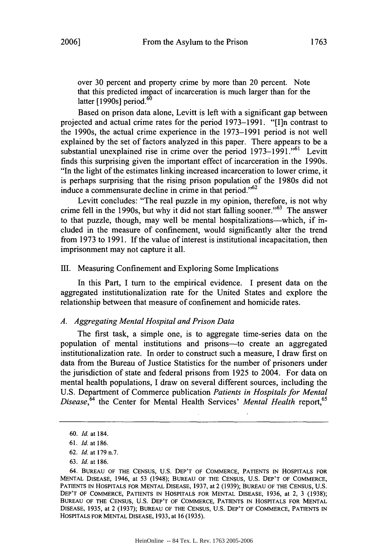over 30 percent and property crime by more than 20 percent. Note that this predicted impact of incarceration is much larger than for the latter  $[1990s]$  period.<sup>60</sup>

Based on prison data alone, Levitt is left With a significant gap between projected and actual crime rates for the period 1973-1991. "[I]n contrast to the 1990s, the actual crime experience in the 1973-1991 period is not well explained by the set of factors analyzed in this paper. There appears to be a substantial unexplained rise in crime over the period 1973–1991."<sup>61</sup> Levitt finds this surprising given the important effect of incarceration in the 1990s. "In the light of the estimates linking increased incarceration to lower crime, it is perhaps surprising that the rising prison population of the 1980s did not induce a commensurate decline in crime in that period." $62$ 

Levitt concludes: "The real puzzle in my opinion, therefore, is not why crime fell in the 1990s, but why it did not start falling sooner." $63$  The answer to that puzzle, though, may well be mental hospitalizations-which, if included in the measure of confinement, would significantly alter the trend from 1973 to 1991. If the value of interest is institutional incapacitation, then imprisonment may not capture it all.

## III. Measuring Confinement and'Exploring Some Implications

In this Part, I turn to the empirical evidence. I present data on the aggregated institutionalization rate for the United States and explore the relationship between that measure of confinement and homicide rates.

#### *A. Aggregating Mental Hospital and Prison Data*

The first task, a simple one, is to aggregate time-series data on the population of mental institutions and prisons-to create an aggregated institutionalization rate. In order to construct such a measure, I draw first on data from the Bureau of Justice Statistics for the number of prisoners under the jurisdiction of state and federal prisons from 1925 to 2004. For data on mental health populations, I draw on several different sources, including the U.S. Department of Commerce publication *Patients in Hospitals for Mental Disease*, <sup>64</sup> the Center for Mental Health Services' *Mental Health* report, <sup>65</sup>

<sup>60.</sup> *Id.* at 184.

<sup>61.</sup> *Id.* at 186.

<sup>62.</sup> *Id.* at 179 n.7.

<sup>63.</sup> *Id.* at 186.

<sup>64.</sup> **BUREAU OF THE CENSUS, U.S.** DEP'T OF COMMERCE, **PATIENTS** IN HOSPITALS **FOR MENTAL** DISEASE, 1946, at 53 (1948); **BUREAU** OF **THE** CENSUS, U.S. DEP'T OF COMMERCE, **PATIENTS IN** HOSPITALS FOR **MENTAL** DISEASE, **1937,** at 2 (1939); **BUREAU** OF THE **CENSUS,** U.S. DEP'T OF COMMERCE, PATIENTS **IN HOSPITALS** FOR **MENTAL** DISEASE, 1936, at 2, 3 (1938); **BUREAU** OF THE **CENSUS,** U.S. DEP'T OF COMMERCE, **PATIENTS** IN **HOSPITALS** FOR **MENTAL DISEASE,** 1935, at 2 **(1937); BUREAU** OF THE **CENSUS,** U.S. DEP'T OF COMMERCE, **PATIENTS IN** HOSPITALS FOR **MENTAL** DISEASE, **1933,** at 16 (1935).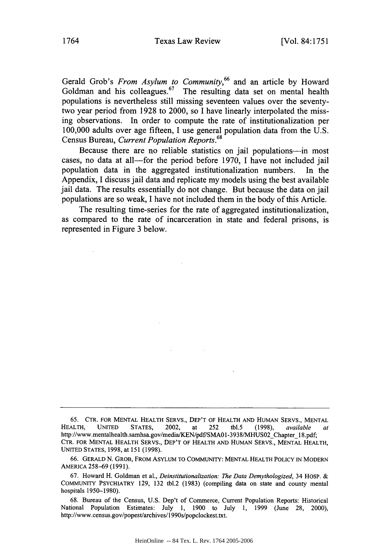Gerald Grob's *From Asylum to Community,66* and an article by Howard Goldman and his colleagues.<sup>67</sup> The resulting data set on mental health populations is nevertheless still missing seventeen values over the seventytwo year period from 1928 to 2000, so I have linearly interpolated the missing observations. In order to compute the rate of institutionalization per 100,000 adults over age fifteen, I use general population data from the U.S. Census Bureau, *Current Population Reports.68*

Because there are no reliable statistics on jail populations--- in most cases, no data at all—for the period before 1970, I have not included jail population data in the aggregated institutionalization numbers. In the Appendix, I discuss jail data and replicate my models using the best available jail data. The results essentially do not change. But because the data on jail populations are so weak, I have not included them in the body of this Article.

The resulting time-series for the rate of aggregated institutionalization, as compared to the rate of incarceration in state and federal prisons, is represented in Figure 3 below.

<sup>65.</sup> CTR. FOR MENTAL HEALTH SERVS., DEP'T OF HEALTH AND HUMAN SERVS., MENTAL HEALTH, UNITED STATES, 2002, at 252 tbl.5 (1998), available http://www.mentalhealth.samhsa.gov/media/KEN/pdf/SMAO1-3938/MHUS02 Chapter 18.pdf; CTR. FOR MENTAL HEALTH SERVS., DEP'T OF HEALTH AND HUMAN SERVS., MENTAL HEALTH, UNITED STATES, 1998, at 151 (1998).

<sup>66.</sup> GERALD N. GROB, FROM ASYLUM TO COMMUNITY: MENTAL HEALTH POLICY IN MODERN AMERICA 258-69 (1991).

<sup>67.</sup> Howard H. Goldman et al., *Deinstitutionalization: The Data Demythologized,* 34 HOSP. & COMMUNITY PSYCHIATRY 129, 132 tbl.2 (1983) (compiling data on state and county mental hospitals 1950-1980).

<sup>68.</sup> Bureau of the Census, U.S. Dep't of Commerce, Current Population Reports: Historical National Population Estimates: July 1, 1900 to July **1,** 1999 (June 28, 2000), http://www.census.gov/popest/archives/1990s/popclockest.txt.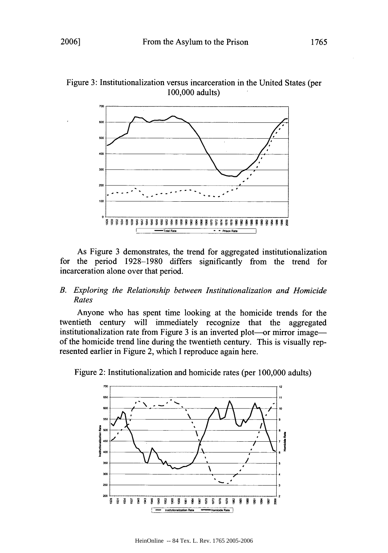

Figure 3: Institutionalization versus incarceration in the United States (per 100,000 adults)

As Figure 3 demonstrates, the trend for aggregated institutionalization for the period 1928-1980 differs significantly from the trend for incarceration alone over that period.

## *B. Exploring the Relationship between Institutionalization and Homicide Rates*

Anyone who has spent time looking at the homicide trends for the twentieth century will immediately recognize that the aggregated institutionalization rate from Figure 3 is an inverted plot—or mirror image of the homicide trend line during the twentieth century. This is visually represented earlier in Figure 2, which I reproduce again here.



Figure 2: Institutionalization and homicide rates (per 100,000 adults)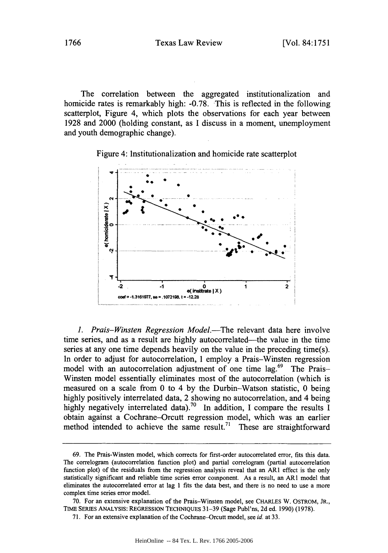The correlation between the aggregated institutionalization and homicide rates is remarkably high: -0.78. This is reflected in the following scatterplot, Figure 4, which plots the observations for each year between 1928 and 2000 (holding constant, as I discuss in a moment, unemployment and youth demographic change).

Figure 4: Institutionalization and homicide rate scatterplot



1. Prais-Winsten Regression Model.—The relevant data here involve time series, and as a result are highly autocorrelated—the value in the time series at any one time depends heavily on the value in the preceding time(s). In order to adjust for autocorrelation, I employ a Prais-Winsten regression model with an autocorrelation adjustment of one time  $lag<sup>69</sup>$  The Prais-Winsten model essentially eliminates most of the autocorrelation (which is measured on a scale from 0 to 4 by the Durbin-Watson statistic, 0 being highly positively interrelated data, 2 showing no autocorrelation, and 4 being highly negatively interrelated data).<sup>70</sup> In addition, I compare the results I obtain against a Cochrane-Orcutt regression model, which was an earlier method intended to achieve the same result.<sup>71</sup> These are straightforward

<sup>69.</sup> The Prais-Winsten model, which corrects for first-order autocorrelated error, fits this data. The correlogram (autocorrelation function plot) and partial correlogram (partial autocorrelation function plot) of the residuals from the regression analysis reveal that an ARI effect is the only statistically significant and reliable time series error component. As a result, an AR1 model that eliminates the autocorrelated error at lag 1 fits the data best, and there is no need to use a more complex time series error model.

<sup>70.</sup> For an extensive explanation of the Prais-Winsten model, see CHARLES W. OSTROM, JR., TIME SERIES ANALYSIS: REGRESSION TECHNIQUES **31-39** (Sage Publ'ns, 2d ed. 1990) (1978).

<sup>71.</sup> For an extensive explanation of the Cochrane-Orcutt model, see id. at 33.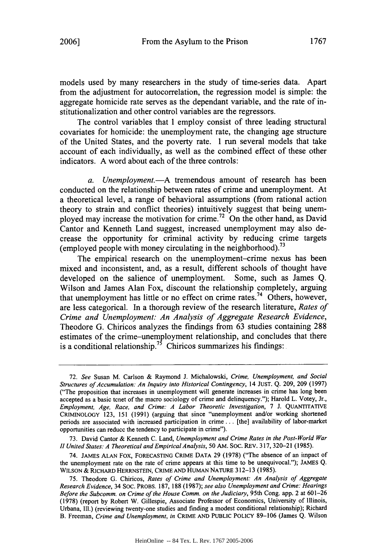models used by many researchers in the study of time-series data. Apart from the adjustment for autocorrelation, the regression model is simple: the aggregate homicide rate serves as the dependant variable, and the rate of institutionalization and other control variables are the regressors.

The control variables that I employ consist of three leading structural covariates for homicide: the unemployment rate, the changing age structure of the United States, and the poverty rate. I run several models that take account of each individually, as well as the combined effect of these other indicators. A word about each of the three controls:

*a. Unemployment.-A* tremendous amount of research has been conducted on the relationship between rates of crime and unemployment. At a theoretical level, a range of behavioral assumptions (from rational action theory to strain and conflict theories) intuitively suggest that being unemployed may increase the motivation for crime.<sup>72</sup> On the other hand, as David Cantor and Kenneth Land suggest, increased unemployment may also decrease the opportunity for criminal activity by reducing crime targets (employed people with money circulating in the neighborhood).73

The empirical research on the unemployment-crime nexus has been mixed and inconsistent, and, as a result, different schools of thought have developed on the salience of unemployment. Some, such as James Q. Wilson and James Alan Fox, discount the relationship completely, arguing that unemployment has little or no effect on crime rates.74 Others, however, are less categorical. In a thorough review of the research literature, *Rates of Crime and Unemployment: An Analysis of Aggregate Research Evidence,* Theodore G. Chiricos analyzes the findings from 63 studies containing 288 estimates of the crime-unemployment relationship, and concludes that there is a conditional relationship.<sup>75</sup> Chiricos summarizes his findings:

<sup>72.</sup> *See* Susan M. Carlson & Raymond J. Michalowski, *Crime, Unemployment, and Social Structures of Accumulation: An Inquiry into Historical Contingency,* 14 **JUST.** Q. 209, 209 (1997) ("The proposition that increases in unemployment will generate increases in crime has long been accepted as a basic tenet of the macro sociology of crime and delinquency."); Harold L. Votey, Jr., *Employment, Age, Race, and Crime: A Labor Theoretic Investigation,* 7 J. **QUANTITATIVE** CRIMINOLOGY 123, 151 (1991) (arguing that since "unemployment and/or working shortened periods are associated with increased participation in crime... [the] availability of labor-market opportunities can reduce the tendency to participate in crime").

<sup>73.</sup> David Cantor & Kenneth C. Land, *Unemployment and Crime Rates in the Post-World War H United States: A Theoretical and Empirical Analysis,* 50 AM. SOC. REV. 317, 320-21 (1985).

<sup>74.</sup> **JAMES ALAN** Fox, **FORECASTING** CRIME **DATA** 29 (1978) ("The absence of an impact of the unemployment rate on the rate of crime appears at this time to be unequivocal."); **JAMES** Q. **WILSON** & RICHARD HERRNSTEIN, CRIME **AND** HUMAN NATURE 312-13 (1985).

<sup>75.</sup> Theodore G. Chiricos, *Rates of Crime and Unemployment: An Analysis of Aggregate Research Evidence,* 34 SOC. PROBS. 187, 188 (1987); *see also Unemployment and Crime: Hearings Before the Subcomm. on Crime of the House Comm. on the Judiciary,* 95th Cong. app. 2 at 601-26 (1978) (report by Robert W. Gillespie, Associate Professor of Economics, University of Illinois, Urbana, Ill.) (reviewing twenty-one studies and finding a modest conditional relationship); Richard B. Freeman, *Crime and Unemployment, in* CRIME **AND PUBLIC** POLICY 89-106 (James Q. Wilson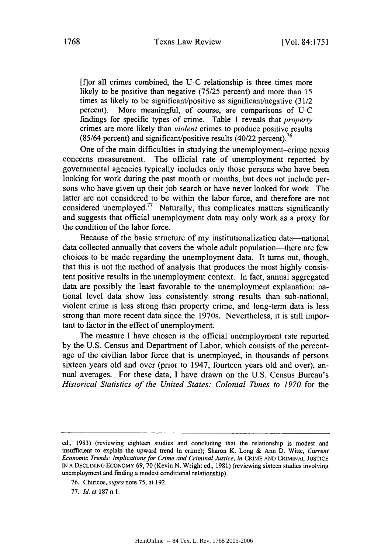[f]or all crimes combined, the U-C relationship is three times more likely to be positive than negative (75/25 percent) and more than 15 times as likely to be significant/positive as significant/negative (31/2 percent). More meaningful, of course, are comparisons of U-C findings for specific types of crime. Table 1 reveals that *property* crimes are more likely than *violent* crimes to produce positive results **<sup>76</sup>** (85/64 percent) and significant/positive results (40/22 percent).

One of the main difficulties in studying the unemployment-crime nexus concerns measurement. The official rate of unemployment reported by governmental agencies typically includes only those persons who have been looking for work during the past month or months, but does not include persons who have given up their job search or have never looked for work. The latter are not considered to be within the labor force, and therefore are not considered unemployed.<sup>77</sup> Naturally, this complicates matters significantly and suggests that official unemployment data may only work as a proxy for the condition of the labor force.

Because of the basic structure of my institutionalization data—national data collected annually that covers the whole adult population—there are few choices to be made regarding the unemployment data. It turns out, though, that this is not the method of analysis that produces the most highly consistent positive results in the unemployment context. In fact, annual aggregated data are possibly the least favorable to the unemployment explanation: national level data show less consistently strong results than sub-national, violent crime is less strong than property crime, and long-term data is less strong than more recent data since the 1970s. Nevertheless, it is still important to factor in the effect of unemployment.

The measure I have chosen is the official unemployment rate reported by the U.S. Census and Department of Labor, which consists of the percentage of the civilian labor force that is unemployed, in thousands of persons sixteen years old and over (prior to 1947, fourteen years old and over), annual averages. For these data, I have drawn on the U.S. Census Bureau's *Historical Statistics of the United States: Colonial Times to 1970* for the

- 76. Chiricos, *supra* note 75, at 192.
- 77. *Id.* at 187 n.1.

ed., 1983) (reviewing eighteen studies and concluding that the relationship is modest and insufficient to explain the upward trend in crime); Sharon K. Long & Ann D. Witte, *Current Economic Trends: Implications for Crime and Criminal Justice, in* CRIME **AND** CRIMINAL **JUSTICE** IN **A** DECLINING ECONOMY 69, 70 (Kevin N. Wright ed., 1981) (reviewing sixteen studies involving unemployment and finding a modest conditional relationship).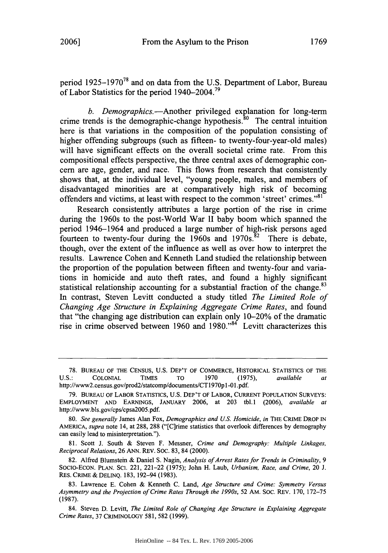period 1925-1970<sup>78</sup> and on data from the U.S. Department of Labor, Bureau of Labor Statistics for the period 1940–2004.<sup>79</sup>

*b. Demographics.-Another* privileged explanation for long-term crime trends is the demographic-change hypothesis.<sup>80</sup> The central intuition here is that variations in the composition of the population consisting of higher offending subgroups (such as fifteen- to twenty-four-year-old males) will have significant effects on the overall societal crime rate. From this compositional effects perspective, the three central axes of demographic concern are age, gender, and race. This flows from research that consistently shows that, at the individual level, "young people, males, and members of disadvantaged minorities are at comparatively high risk of becoming offenders and victims, at least with respect to the common 'street' crimes."<sup>81</sup>

Research consistently attributes a large portion of the rise in crime during the 1960s to the post-World War II baby boom which spanned the period 1946-1964 and produced a large number of high-risk persons aged fourteen to twenty-four during the 1960s and 1970s.<sup>82</sup> There is debate, though, over the extent of the influence as well as over how to interpret the results. Lawrence Cohen and Kenneth Land studied the relationship between the proportion of the population between fifteen and twenty-four and variations in homicide and auto theft rates, and found a highly significant statistical relationship accounting for a substantial fraction of the change.<sup>83</sup> In contrast, Steven Levitt conducted a study titled *The Limited Role of Changing Age Structure in Explaining Aggregate Crime Rates,* and found that "the changing age distribution can explain only 10-20% of the dramatic rise in crime observed between 1960 and  $1980$ .<sup>84</sup> Levitt characterizes this

80. *See generally* James Alan Fox, *Demographics and US. Homicide, in* THE CRIME DROP IN AMERICA, *supra* note 14, at 288, 288 ("[C]rime statistics that overlook differences by demography can easily lead to misinterpretation.").

81. Scott J. South & Steven F. Messner, *Crime and Demography: Multiple Linkages, Reciprocal Relations,* 26 ANN. REV. Soc. 83, 84 (2000).

82. Alfred Blumstem & Daniel S. Nagin, *Analysis of Arrest Rates for Trends in Criminality*, 9 SoCIo-ECON. PLAN. SCt. 221, 221-22 (1975); John H. Laub, *Urbanism, Race, and Crime,* 20 J. RES. CRIME & DELINQ. 183, 192-94 (1983).

83. Lawrence E. Cohen & Kenneth C. Land, *Age Structure and Crime: Symmetry Versus Asymmetry and the Projection of Crime Rates Through the 1990s,* 52 AM. SOC. REV. 170, 172-75 (1987).

84. Steven D. Levitt, *The Limited Role of Changing Age Structure in Explaining Aggregate Crime Rates,* 37 CRIMINOLOGY 581, 582 (1999).

**<sup>78.</sup>** BUREAU OF THE CENSUS, **U.S.** DEP'T OF COMMERCE, HISTORICAL STATISTICS OF THE U.S.: COLONIAL TIMES TO 1970 (1975), *available at* http://www2.census.gov/prod2/statcomp/documents/CT1970pl -01.pdf.

<sup>79.</sup> BUREAU OF LABOR STATISTICS, U.S. DEP'T OF LABOR, CURRENT POPULATION SURVEYS: EMPLOYMENT AND EARNINGS, JANUARY 2006, at 203 tbl.1 (2006), *available at* http://www.bls.gov/cps/cpsa2005.pdf.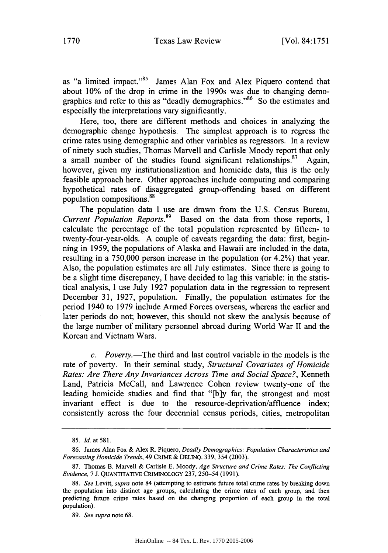as "a limited impact."<sup>85</sup> James Alan Fox and Alex Piquero contend that about 10% of the drop in crime in the 1990s was due to changing demographics and refer to this as "deadly demographics."<sup>86</sup> So the estimates and especially the interpretations vary significantly.

Here, too, there are different methods and choices in analyzing the demographic change hypothesis. The simplest approach is to regress the crime rates using demographic and other variables as regressors. In a review of ninety such studies, Thomas Marvell and Carlisle Moody report that only a small number of the studies found significant relationships.<sup>87</sup> Again, however, given my institutionalization and homicide data, this is the only feasible approach here. Other approaches include computing and comparing hypothetical rates of disaggregated group-offending based on different population compositions. <sup>88</sup>

The population data I use are drawn from the U.S. Census Bureau, *Current Population Reports.89* Based on the data from those reports, I calculate the percentage of the total population represented by fifteen- to twenty-four-year-olds. A couple of caveats regarding the data: first, beginning in 1959, the populations of Alaska and Hawaii are included in the data, resulting in a 750,000 person increase in the population (or 4.2%) that year. Also, the population estimates are all July estimates. Since there is going to be a slight time discrepancy, I have decided to lag this variable: in the statistical analysis, I use July 1927 population data in the regression to represent December 31, 1927, population. Finally, the population estimates for the period 1940 to 1979 include Armed Forces overseas, whereas the earlier and later periods do not; however, this should not skew the analysis because of the large number of military personnel abroad during World War II and the Korean and Vietnam Wars.

*c. Poverty.-The* third and last control variable in the models is the rate of poverty. In their seminal study, *Structural Covariates of Homicide Rates: Are There Any Invariances Across Time and Social Space?,* Kenneth Land, Patricia McCall, and Lawrence Cohen review twenty-one of the leading homicide studies and find that "[b]y far, the strongest and most invariant effect is due to the resource-deprivation/affluence index; consistently across the four decennial census periods, cities, metropolitan

<sup>85.</sup> *Id.* at 581.

<sup>86.</sup> James Alan Fox & Alex R. Piquero, *Deadly Demographics: Population Characteristics and Forecasting Homicide Trends,* 49 CRIME & DELINQ. 339, 354 (2003).

<sup>87.</sup> Thomas B. Marvell & Carlisle E. Moody, *Age Structure and Crime Rates: The Conflicting Evidence,* 7 J. QUANTITATIVE CRIMINOLOGY 237, 250-54 (1991).

<sup>88.</sup> *See* Levitt, *supra* note 84 (attempting to estimate future total crime rates by breaking down the population into distinct age groups, calculating the crime rates of each group, and then predicting future crime rates based on the changing proportion of each group in the total population).

<sup>89.</sup> *See supra* note 68.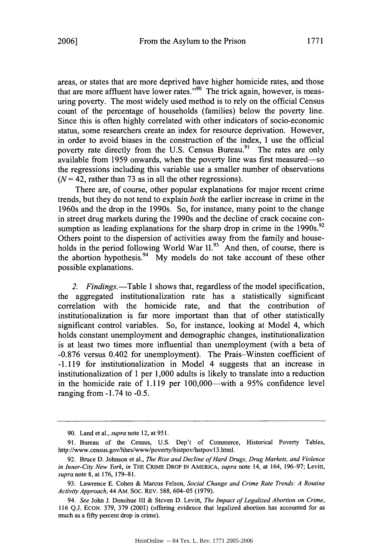areas, or states that are more deprived have higher homicide rates, and those that are more affluent have lower rates."<sup>90</sup> The trick again, however, is measuring poverty. The most widely used method is to rely on the official Census count of the percentage of households (families) below the poverty line. Since this is often highly correlated with other indicators of socio-economic status, some researchers create an index for resource deprivation. However, in order to avoid biases in the construction of the index, I use the official poverty rate directly from the U.S. Census Bureau.<sup>91</sup> The rates are only available from 1959 onwards, when the poverty line was first measured-so the regressions including this variable use a smaller number of observations  $(N = 42$ , rather than 73 as in all the other regressions).

There are, of course, other popular explanations for major recent crime trends, but they do not tend to explain *both* the earlier increase in crime in the 1960s and the drop in the 1990s. So, for instance, many point to the change in street drug markets during the 1990s and the decline of crack cocaine consumption as leading explanations for the sharp drop in crime in the 1990s.<sup>92</sup> Others point to the dispersion of activities away from the family and households in the period following World War 11.<sup>93</sup> And then, of course, there is the abortion hypothesis.<sup>94</sup> My models do not take account of these other possible explanations.

2. *Findings.*—Table 1 shows that, regardless of the model specification, the aggregated institutionalization rate has a statistically significant correlation with the homicide rate, and that the contribution of institutionalization is far more important than that of other statistically significant control variables. So, for instance, looking at Model 4, which holds constant unemployment and demographic changes, institutionalization is at least two times more influential than unemployment (with a beta of -0.876 versus 0.402 for unemployment). The Prais-Winsten coefficient of -1.119 for institutionalization in Model 4 suggests that an increase in institutionalization of 1 per 1,000 adults is likely to translate into a reduction in the homicide rate of  $1.119$  per  $100,000$ —with a 95% confidence level ranging from -1.74 to -0.5.

<sup>90.</sup> Land et al., *supra* note 12, at **951.**

<sup>91.</sup> Bureau of the Census, U.S. Dep't of Commerce, Historical Poverty Tables, http://www.census.gov/hhes/www/poverty/histpov/hstpov13.html.

<sup>92.</sup> Bruce D. Johnson et al., *The Rise and Decline of Hard Drugs, Drug Markets, and Violence in Inner-City New York, in* THE CRIME DROP IN AMERICA, *supra* note 14, at 164, 196-97; Levitt, *supra* note 8, at 176, 179-81.

<sup>93.</sup> Lawrence E. Cohen & Marcus Felson, *Social Change and Crime Rate Trends: A Routine Activity Approach,* 44 AM. SOC. REV. 588, 604-05 (1979).

<sup>94.</sup> *See* John J. Donohue III & Steven D. Levitt, *The Impact of Legalized Abortion on Crime,* 116 Q.J. ECON. 379, 379 (2001) (offering evidence that legalized abortion has accounted for as much as a fifty percent drop in crime).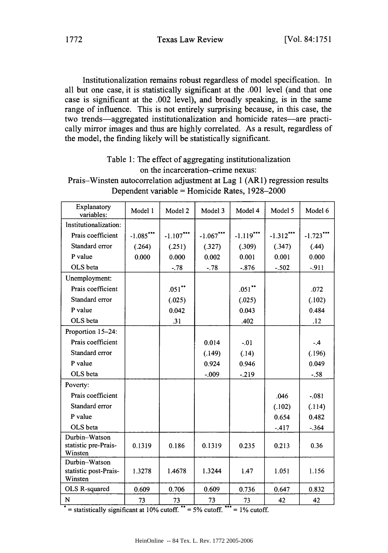Institutionalization remains robust regardless of model specification. In all but one case, it is statistically significant at the .001 level (and that one case is significant at the .002 level), and broadly speaking, is in the same range of influence. This is not entirely surprising because, in this case, the two trends-aggregated institutionalization and homicide rates-are practically mirror images and thus are highly correlated. As a result, regardless of the model, the finding likely will be statistically significant.

## Table **1:** The effect of aggregating institutionalization on the incarceration-crime nexus:

| Prais–Winsten autocorrelation adjustment at Lag 1 (AR1) regression results |
|----------------------------------------------------------------------------|
| Dependent variable = Homicide Rates, $1928-2000$                           |

| Explanatory<br>variables:                         | Model 1     | Model 2     | Model 3     | Model 4     | Model 5     | Model 6  |
|---------------------------------------------------|-------------|-------------|-------------|-------------|-------------|----------|
| Institutionalization:                             |             |             |             |             |             |          |
| Prais coefficient                                 | $-1.085***$ | $-1.107***$ | $-1.067***$ | $-1.119***$ | $-1.312***$ | $-1.723$ |
| Standard error                                    | (.264)      | (.251)      | (.327)      | (.309)      | (.347)      | (.44)    |
| P value                                           | 0.000       | 0.000       | 0.002       | 0.001       | 0.001       | 0.000    |
| OLS beta                                          |             | $-.78$      | $-78$       | $-.876$     | $-.502$     | $-911$   |
| Unemployment:                                     |             |             |             |             |             |          |
| Prais coefficient                                 |             | $.051$ **   |             | $.051$ **   |             | .072     |
| Standard error                                    |             | (.025)      |             | (.025)      |             | (.102)   |
| P value                                           |             | 0.042       |             | 0.043       |             | 0.484    |
| OLS beta                                          |             | .31         |             | .402        |             | .12      |
| Proportion 15-24:                                 |             |             |             |             |             |          |
| Prais coefficient                                 |             |             | 0.014       | $-.01$      |             | $-4$     |
| Standard error                                    |             |             | (.149)      | (.14)       |             | (.196)   |
| P value                                           |             |             | 0.924       | 0.946       |             | 0.049    |
| OLS beta                                          |             |             | $-.009$     | $-219$      |             | $-.58$   |
| Poverty:                                          |             |             |             |             |             |          |
| Prais coefficient                                 |             |             |             |             | .046        | $-.081$  |
| Standard error                                    |             |             |             |             | (.102)      | (.114)   |
| P value                                           |             |             |             |             | 0.654       | 0.482    |
| OLS beta                                          |             |             |             |             | $-417$      | $-.364$  |
| Durbin-Watson<br>statistic pre-Prais-<br>Winsten  | 0.1319      | 0.186       | 0.1319      | 0.235       | 0.213       | 0.36     |
| Durbin-Watson<br>statistic post-Prais-<br>Winsten | 1.3278      | 1.4678      | 1.3244      | 1.47        | 1.051       | 1.156    |
| OLS R-squared                                     | 0.609       | 0.706       | 0.609       | 0.736       | 0.647       | 0.832    |
| N                                                 | 73          | 73          | 73          | 73          | 42          | 42       |

\* = statistically significant at 10% cutoff.  $**$  = 5% cutoff. \*\*\* = 1% cutoff.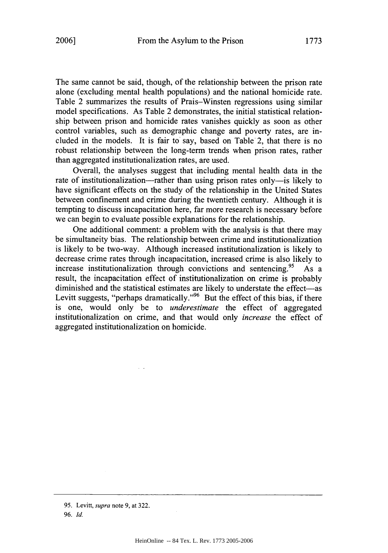The same cannot be said, though, of the relationship between the prison rate alone (excluding mental health populations) and the national homicide rate. Table 2 summarizes the results of Prais-Winsten regressions using similar model specifications. As Table 2 demonstrates, the initial statistical relationship between prison and homicide rates vanishes quickly as soon as other control variables, such as demographic change and poverty rates, are included in the models. It is fair to say, based on Table 2, that there is no robust relationship between the long-term trends when prison rates, rather than aggregated institutionalization rates, are used.

Overall, the analyses suggest that including mental health data in the rate of institutionalization—rather than using prison rates only—is likely to have significant effects on the study of the relationship in the United States between confinement and crime during the twentieth century. Although it is tempting to discuss incapacitation here, far more research is necessary before we can begin to evaluate possible explanations for the relationship.

One additional comment: a problem with the analysis is that there may be simultaneity bias. The relationship between crime and institutionalization is likely to be two-way. Although increased institutionalization is likely to decrease crime rates through incapacitation, increased crime is also likely to increase institutionalization through convictions and sentencing.<sup>95</sup> As a result, the incapacitation effect of institutionalization on crime is probably diminished and the statistical estimates are likely to understate the effect-as Levitt suggests, "perhaps dramatically."<sup>96</sup> But the effect of this bias, if there is one, would only be to *underestimate* the effect of aggregated institutionalization on crime, and that would only *increase* the effect of aggregated institutionalization on homicide.

 $\sim$   $\sim$ 

<sup>95.</sup> Levitt, supra note 9, at 322.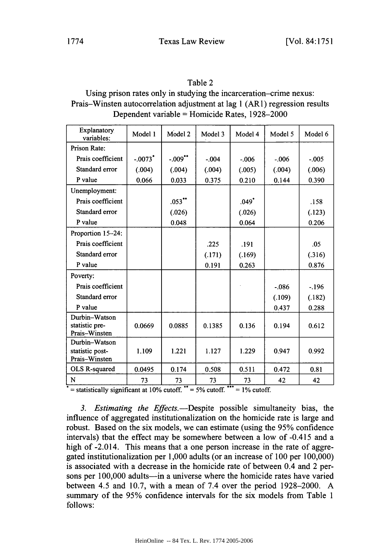## Table 2

## Using prison rates only in studying the incarceration-crime nexus: Prais-Winsten autocorrelation adjustment at lag 1 (AR1) regression results Dependent variable = Homicide Rates, 1928-2000

| <b>Explanatory</b><br>variables: | Model 1               | Model 2    | Model 3 | Model 4 | Model 5  | Model 6 |
|----------------------------------|-----------------------|------------|---------|---------|----------|---------|
| Prison Rate:                     |                       |            |         |         |          |         |
| Prais coefficient                | $-.0073$ <sup>*</sup> | $-.009$ ** | $-004$  | $-0.06$ | $-006$   | $-.005$ |
| Standard error                   | (.004)                | (.004)     | (.004)  | (.005)  | (.004)   | (.006)  |
| P value                          | 0.066                 | 0.033      | 0.375   | 0.210   | 0.144    | 0.390   |
| Unemployment:                    |                       |            |         |         |          |         |
| Prais coefficient                |                       | $.053$ **  |         | .049"   |          | .158    |
| Standard error                   |                       | (.026)     |         | (.026)  |          | (.123)  |
| P value                          |                       | 0.048      |         | 0.064   |          | 0.206   |
| Proportion 15-24:                |                       |            |         |         |          |         |
| Prais coefficient                |                       |            | .225    | .191    |          | .05     |
| Standard error                   |                       |            | (.171)  | (.169)  |          | (.316)  |
| P value                          |                       |            | 0.191   | 0.263   |          | 0.876   |
| Poverty:                         |                       |            |         |         |          |         |
| Prais coefficient                |                       |            |         |         | $-0.086$ | $-196$  |
| Standard error                   |                       |            |         |         | (.109)   | (.182)  |
| P value                          |                       |            |         |         | 0.437    | 0.288   |
| Durbin-Watson                    |                       |            |         |         |          |         |
| statistic pre-<br>Prais-Winsten  | 0.0669                | 0.0885     | 0.1385  | 0.136   | 0.194    | 0.612   |
| Durbin-Watson                    |                       |            |         |         |          |         |
| statistic post-                  | 1.109                 | 1.221      | 1.127   | 1.229   | 0.947    | 0.992   |
| Prais-Winsten                    |                       |            |         |         |          |         |
| OLS R-squared                    | 0.0495                | 0.174      | 0.508   | 0.511   | 0.472    | 0.81    |
| N                                | 73                    | 73         | 73      | 73      | 42       | 42      |

 $\overline{\phantom{a}}$  = statistically significant at 10% cutoff.  $\overline{\phantom{a}}$  = 5% cutoff.  $\overline{\phantom{a}}$  = 1% cutoff.

*3. Estimating the Effects.-Despite* possible simultaneity bias, the influence of aggregated institutionalization on the homicide rate is large and robust. Based on the six models, we can estimate (using the 95% confidence intervals) that the effect may be somewhere between a low of -0.415 and a high of -2.014. This means that a one person increase in the rate of aggregated institutionalization per 1,000 adults (or an increase of 100 per 100,000) is associated with a decrease in the homicide rate of between 0.4 and 2 persons per 100,000 adults-in a universe where the homicide rates have varied between 4.5 and 10.7, with a mean of 7.4 over the period 1928-2000. A summary of the 95% confidence intervals for the six models from Table 1 follows: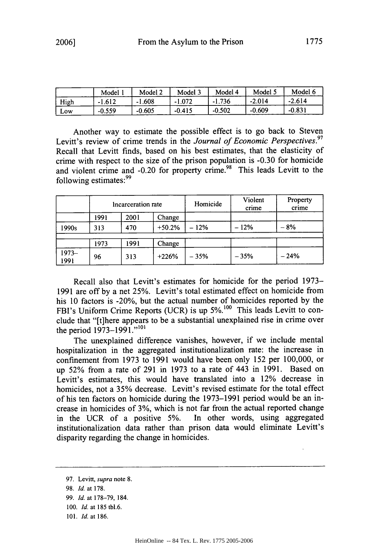|      | Model <sup>'</sup> | Model 2  | Model 3  | Model 4  | Model 5  | Model 6  |
|------|--------------------|----------|----------|----------|----------|----------|
| High | $-1.612$           | -1.608   | $-1.072$ | $-1.736$ | $-2.014$ | $-2.614$ |
| Low  | $-0.559$           | $-0.605$ | $-0.415$ | $-0.502$ | $-0.609$ | $-0.831$ |

Another way to estimate the possible effect is to go back to Steven Levitt's review of crime trends in the *Journal of Economic Perspectives.97* Recall that Levitt finds, based on his best estimates, that the elasticity of crime with respect to the size of the prison population is **-0.30** for homicide and violent crime and -0.20 for property crime.<sup>98</sup> This leads Levitt to the following estimates:<sup>99</sup>

|                 | Incarceration rate |      |          | Homicide | Violent<br>crime | Property<br>crime |
|-----------------|--------------------|------|----------|----------|------------------|-------------------|
|                 | 1991               | 2001 | Change   |          |                  |                   |
| 1990s           | 313                | 470  | $+50.2%$ | $-12%$   | $-12%$           | $-8%$             |
|                 | 1973               | 1991 | Change   |          |                  |                   |
| $1973-$<br>1991 | 96                 | 313  | $+226%$  | $-35%$   | $-35%$           | $-24%$            |

Recall also that Levitt's estimates for homicide for the period 1973- 1991 are off by a net 25%. Levitt's total estimated effect on homicide from his 10 factors is -20%, but the actual number of homicides reported by the FBI's Uniform Crime Reports (UCR) is up 5%.<sup>100</sup> This leads Levitt to conclude that "[t]here appears to be a substantial unexplained rise in crime over the period  $1973-1991$ ."<sup>101</sup>

The unexplained difference vanishes, however, if we include mental hospitalization in the aggregated institutionalization rate: the increase in confinement from 1973 to 1991 would have been only 152 per 100,000, or up **52%** from a rate of 291 in 1973 to a rate of 443 in 1991. Based on Levitt's estimates, this would have translated into a 12% decrease in homicides, not a 35% decrease. Levitt's revised estimate for the total effect of his ten factors on homicide during the 1973-1991 period would be an increase in homicides of 3%, which is not far from the actual reported change in the UCR of a positive 5%. In other words, using aggregated institutionalization data rather than prison data would eliminate Levitt's disparity regarding the change in homicides.

98. *Id.* at 178.

<sup>97.</sup> Levitt, *supra* note 8.

<sup>99.</sup> *Id.* at 178-79, 184.

<sup>100.</sup> *Id.* at 185 tbl.6.

<sup>101.</sup> *Id.* at 186.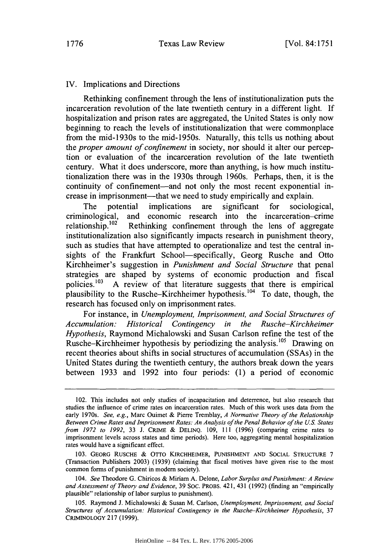## IV. Implications and Directions

Rethinking confinement through the lens of institutionalization puts the incarceration revolution of the late twentieth century in a different light. If hospitalization and prison rates are aggregated, the United States is only now beginning to reach the levels of institutionalization that were commonplace from the mid-1930s to the mid-1950s. Naturally, this tells us nothing about the *proper amount of confinement* in society, nor should it alter our perception or evaluation of the incarceration revolution of the late twentieth century. What it does underscore, more than anything, is how much institutionalization there was in the 1930s through 1960s. Perhaps, then, it is the continuity of confinement—and not only the most recent exponential increase in imprisonment—that we need to study empirically and explain.

The potential implications are significant for sociological, criminological, and economic research into the incarceration-crime relationship.<sup>102</sup> Rethinking confinement through the lens of aggregate Rethinking confinement through the lens of aggregate institutionalization also significantly impacts research in punishment theory, such as studies that have attempted to operationalize and test the central insights of the Frankfurt School-specifically, Georg Rusche and Otto Kirchheimer's suggestion in *Punishment and Social Structure* that penal strategies are shaped by systems of economic production and fiscal policies.<sup>103</sup> A review of that literature suggests that there is empirical plausibility to the Rusche-Kirchheimer hypothesis.  $104$  To date, though, the research has focused only on imprisonment rates.

For instance, in *Unemployment, Imprisonment, and Social Structures of Accumulation: Historical Contingency in the Rusche-Kirchheimer Hypothesis,* Raymond Michalowski and Susan Carlson refine the test of the Rusche-Kirchheimer hypothesis by periodizing the analysis.<sup>105</sup> Drawing on recent theories about shifts in social structures of accumulation (SSAs) in the United States during the twentieth century, the authors break down the years between 1933 and 1992 into four periods: (1) a period of economic

<sup>102.</sup> This includes not only studies of incapacitation and deterrence, but also research that studies the influence of crime rates on incarceration rates. Much of this work uses data from the early 1970s. *See, e.g.,* Marc Ouimet & Pierre Tremblay, *A Normative Theory of the Relationship Between Crime Rates and Imprisonment Rates: An Analysis of the Penal Behavior of the U.S. States from 1972 to 1992,* 33 J. CRIME & DELINQ. 109, **111** (1996) (comparing crime rates to imprisonment levels across states and time periods). Here too, aggregating mental hospitalization rates would have a significant effect.

<sup>103.</sup> GEORG RUSCHE & OTTO KIRCHHEIMER, PUNISHMENT AND SOCIAL STRUCTURE 7 (Transaction Publishers 2003) (1939) (claiming that fiscal motives have given rise to the most common forms of punishment in modem society).

<sup>104.</sup> *See* Theodore G. Chiricos & Miriam A. Delone, *Labor Surplus and Punishment: A Review and Assessment of Theory and Evidence,* 39 SOC. PROBS. 421, 431 (1992) (finding an "empirically plausible" relationship of labor surplus to punishment).

<sup>105.</sup> Raymond J. Michalowski & Susan M. Carlson, *Unemployment, Imprisonment, and Social Structures of Accumulation: Historical Contingency in the Rusche-Kirchheimer Hypothesis,* <sup>37</sup> CRIMINOLOGY 217 (1999).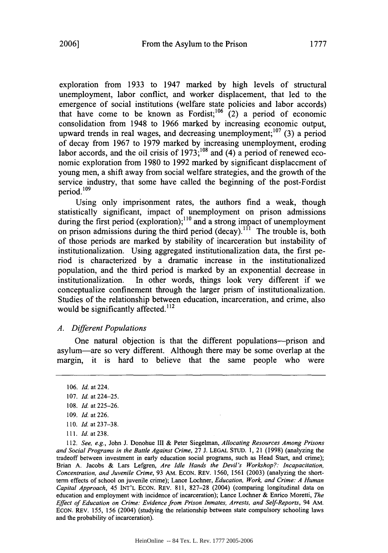exploration from **1933** to 1947 marked **by** high levels of structural unemployment, labor conflict, and worker displacement, that led to the emergence of social institutions (welfare state policies and labor accords) that have come to be known as Fordist;<sup>106</sup> (2) a period of economic consolidation from 1948 to **1966** marked **by** increasing economic output, upward trends in real wages, and decreasing unemployment;<sup>107</sup> (3) a period of decay from **1967** to **1979** marked **by** increasing unemployment, eroding labor accords, and the oil crisis of 1973;<sup>108</sup> and (4) a period of renewed economic exploration from **1980** to **1992** marked **by** significant displacement of young men, a shift away from social welfare strategies, and the growth of the service industry, that some have called the beginning of the post-Fordist period.'<sup>09</sup>

Using only imprisonment rates, the authors find a weak, though statistically significant, impact of unemployment on prison admissions during the first period (exploration);<sup>110</sup> and a strong impact of unemployment on prison admissions during the third period (decay).<sup> $1\hat{1}$ </sup> The trouble is, both of those periods are marked by stability of incarceration but instability of institutionalization. Using aggregated institutionalization data, the first period is characterized by a dramatic increase in the institutionalized population, and the third period is marked by an exponential decrease in institutionalization. In other words, things look very different if we conceptualize confinement through the larger prism of institutionalization. Studies of the relationship between education, incarceration, and crime, also would be significantly affected. $112$ 

## *A. Different Populations*

One natural objection is that the different populations-prison and asylum-are so very different. Although there may be some overlap at the margin, it is hard to believe that the same people who were

- 110. *Id.* at 237-38.
- **111.** *Id.* at 238.

112. *See, e.g.,* John J. Donohue III & Peter Siegelman, *Allocating Resources Among Prisons* and Social *Programs in the Battle Against* Crime, 27 J. LEGAL STUD. 1, 21 (1998) (analyzing the tradeoff between investment in early education social programs, such as Head Start, and crime); Brian A. Jacobs & Lars Lefgren, *Are Idle Hands the Devil's Workshop?: Incapacitation, Concentration, and Juvenile Crime,* 93 AM. ECON. REV. 1560, 1561 (2003) (analyzing the shortterm effects of school on juvenile crime); Lance Lochner, *Education, Work, and Crime: A Human Capital Approach,* 45 INT'L ECON. REV. 811, 827-28 (2004) (comparing longitudinal data on education and employment with incidence of incarceration); Lance Lochner & Enrico Moretti, *The Effect of Education on Crime: Evidence* from *Prison Inmates, Arrests, and Self-Reports,* 94 AM. ECON. REV. 155, 156 (2004) (studying the relationship between state compulsory schooling laws and the probability of incarceration).

<sup>106.</sup> *Id.* at 224.

<sup>107.</sup> *Id.* at 224-25.

<sup>108.</sup> *Id.* at 225-26.

<sup>109.</sup> *Id.* at 226.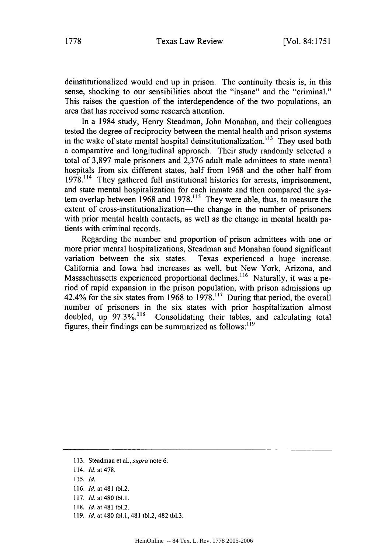deinstitutionalized would end up in prison. The continuity thesis is, in this sense, shocking to our sensibilities about the "insane" and the "criminal." This raises the question of the interdependence of the two populations, an area that has received some research attention.

In a 1984 study, Henry Steadman, John Monahan, and their colleagues tested the degree of reciprocity between the mental health and prison systems in the wake of state mental hospital deinstitutionalization.<sup>113</sup> They used both a comparative and longitudinal approach. Their study randomly selected a total of 3,897 male prisoners and 2,376 adult male admittees to state mental hospitals from six different states, half from 1968 and the other half from 1978.<sup>114</sup> They gathered full institutional histories for arrests, imprisonment, and state mental hospitalization for each inmate and then compared the system overlap between 1968 and 1978.<sup>115</sup> They were able, thus, to measure the extent of cross-institutionalization—the change in the number of prisoners with prior mental health contacts, as well as the change in mental health patients with criminal records.

Regarding the number and proportion of prison admittees with one or more prior mental hospitalizations, Steadman and Monahan found significant variation between the six states. Texas experienced a huge increase. California and Iowa had increases as well, but New York, Arizona, and Massachussetts experienced proportional declines.<sup>116</sup> Naturally, it was a period of rapid expansion in the prison population, with prison admissions up 42.4% for the six states from 1968 to **1978.117** During that period, the overall number of prisoners in the six states with prior hospitalization almost doubled, up **97.3%.118** Consolidating their tables, and calculating total figures, their findings can be summarized as follows: $119$ 

<sup>113.</sup> Steadman et al., *supra* note 6.

<sup>114.</sup> *Id.* at 478.

<sup>115.</sup> *Id.*

<sup>116.</sup> *Id.* at 481 tbl.2.

<sup>117.</sup> *Id.* at 480 tbl.1.

**<sup>118.</sup>** *Id.* at 481 tbl.2.

<sup>119.</sup> *Id.* at 480 tbl.1, 481 tbl.2, 482 tbl.3.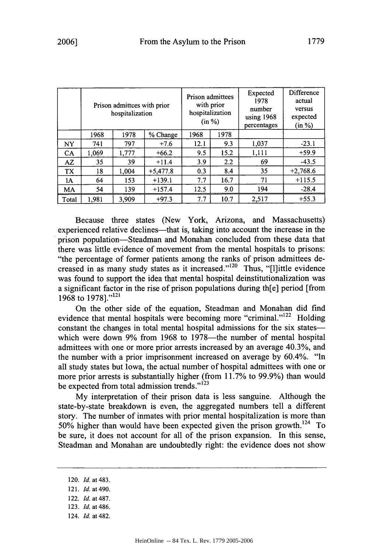|           |       | Prison admittees with prior<br>hospitalization |            |      | Prison admittees<br>with prior<br>hospitalization<br>(in %) | Expected<br>1978<br>number<br>using 1968<br>percentages | Difference<br>actual<br>versus<br>expected<br>(in %) |
|-----------|-------|------------------------------------------------|------------|------|-------------------------------------------------------------|---------------------------------------------------------|------------------------------------------------------|
|           | 1968  | 1978                                           | % Change   | 1968 | 1978                                                        |                                                         |                                                      |
| <b>NY</b> | 741   | 797                                            | $+7.6$     | 12.1 | 9.3                                                         | 1,037                                                   | $-23.1$                                              |
| <b>CA</b> | 1.069 | 1,777                                          | $+66.2$    | 9.5  | 15.2                                                        | 1,111                                                   | $+59.9$                                              |
| AZ        | 35    | 39                                             | $+11.4$    | 3.9  | 2.2                                                         | 69                                                      | $-43.5$                                              |
| TX        | 18    | 1.004                                          | $+5,477.8$ | 0.3  | 8.4                                                         | 35                                                      | $+2,768.6$                                           |
| 1A        | 64    | 153                                            | $+139.1$   | 7.7  | 16.7                                                        | 71                                                      | $+115.5$                                             |
| MA        | 54    | 139                                            | $+157.4$   | 12.5 | 9.0                                                         | 194                                                     | $-28.4$                                              |
| Total     | 1.981 | 3.909                                          | $+97.3$    | 7.7  | 10.7                                                        | 2,517                                                   | $+55.3$                                              |

Because three states (New York, Arizona, and Massachusetts) experienced relative declines—that is, taking into account the increase in the prison population-Steadman and Monahan concluded from these data that there was little evidence of movement from the mental hospitals to prisons: "the percentage of former patients among the ranks of prison admittees decreased in as many study states as it increased." $^{120}$  Thus, "[l]ittle evidence was found to support the idea that mental hospital deinstitutionalization was a significant factor in the rise of prison populations during th[e] period [from 1968 to 1978]."<sup>121</sup>

On the other side of the equation, Steadman and Monahan did find evidence that mental hospitals were becoming more "criminal."<sup>122</sup> Holding constant the changes in total mental hospital admissions for the six stateswhich were down 9% from 1968 to 1978-the number of mental hospital admittees with one or more prior arrests increased by an average 40.3%, and the number with a prior imprisonment increased on average by 60.4%. "In all study states but Iowa, the actual number of hospital admittees with one or more prior arrests is substantially higher (from 11.7% to 99.9%) than would be expected from total admission trends."<sup>123</sup>

My interpretation of their prison data is less sanguine. Although the state-by-state breakdown is even, the aggregated numbers tell a different story. The number of inmates with prior mental hospitalization is more than 50% higher than would have been expected given the prison growth. 124 To be sure, it does not account for all of the prison expansion. In this sense, Steadman and Monahan are undoubtedly right: the evidence does not show

- 120. *Id.* at 483.
- 121. *Id.* at 490.
- 122. *Id.* at 487.
- 123. *Id.* at 486.
- 124. *Id.* at 482.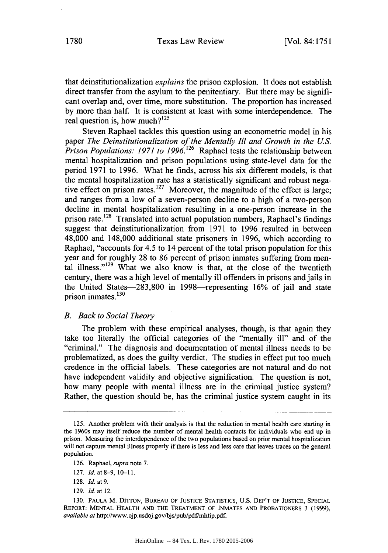that deinstitutionalization *explains* the prison explosion. It does not establish direct transfer from the asylum to the penitentiary. But there may be significant overlap and, over time, more substitution. The proportion has increased by more than half. It is consistent at least with some interdependence. The real question is, how much? $125$ 

Steven Raphael tackles this question using an econometric model in his paper *The Deinstitutionalization of the Mentally Ill and Growth in the U.S. Prison Populations: 1971 to 1996.126* Raphael tests the relationship between mental hospitalization and prison populations using state-level data for the period 1971 to 1996. What he finds, across his six different models, is that the mental hospitalization rate has a statistically significant and robust negative effect on prison rates.<sup>127</sup> Moreover, the magnitude of the effect is large; and ranges from a low of a seven-person decline to a high of a two-person decline in mental hospitalization resulting in a one-person increase in the prison rate. **128** Translated into actual population numbers, Raphael's findings suggest that deinstitutionalization from 1971 to 1996 resulted in between 48,000 and 148,000 additional state prisoners in 1996, which according to Raphael, "accounts for 4.5 to 14 percent of the total prison population for this year and for roughly 28 to 86 percent of prison inmates suffering from mental illness."<sup>129</sup> What we also know is that, at the close of the twentieth century, there was a high level of mentally ill offenders in prisons and jails in the United States-283,800 in 1998-representing 16% of jail and state prison inmates.<sup>130</sup>

#### *B. Back to Social Theory*

The problem with these empirical analyses, though, is that again they take too literally the official categories of the "mentally ill" and of the "criminal." The diagnosis and documentation of mental illness needs to be problematized, as does the guilty verdict. The studies in effect put too much credence in the official labels. These categories are not natural and do not have independent validity and objective signification. The question is not, how many people with mental illness are in the criminal justice system? Rather, the question should be, has the criminal justice system caught in its

129. *Id.* at 12.

<sup>125.</sup> Another problem with their analysis is that the reduction in mental health care starting in the 1960s may itself reduce the number of mental health contacts for individuals who end up in prison. Measuring the interdependence of the two populations based on prior mental hospitalization will not capture mental illness properly if there is less and less care that leaves traces on the general population.

<sup>126.</sup> Raphael, *supra* note 7.

<sup>127.</sup> *Id.* at 8-9, 10-11.

<sup>128.</sup> *Id.* at 9.

<sup>130.</sup> **PAULA** M. DITTON, **BUREAU** OF **JUSTICE STATISTICS,** U.S. DEP'T OF **JUSTICE,** SPECIAL REPORT: MENTAL HEALTH **AND** THE TREATMENT OF **INMATES AND** PROBATIONERS 3 **(1999),** *available at* http://www.ojp.usdoj.gov/bjs/pub/pdf/mhtip.pdf.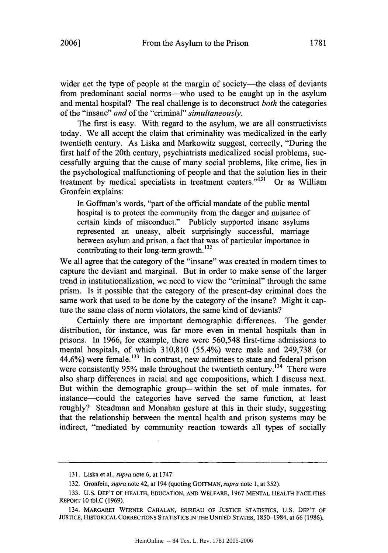wider net the type of people at the margin of society---the class of deviants from predominant social norms-who used to be caught up in the asylum and mental hospital? The real challenge is to deconstruct *both* the categories of the "insane" *and* of the "criminal" *simultaneously.*

The first is easy. With regard to the asylum, we are all constructivists today. We all accept the claim that criminality was medicalized in the early twentieth century. As Liska and Markowitz suggest, correctly, "During the first half of the 20th century, psychiatrists medicalized social problems, successfully arguing that the cause of many social problems, like crime, lies in the psychological malfunctioning of people and that the solution lies in their treatment by medical specialists in treatment centers."<sup>131</sup> Or as William Gronfein explains:

In Goffman's words, "part of the official mandate of the public mental hospital is to protect the community from the danger and nuisance of certain kinds of misconduct." Publicly supported insane asylums represented an uneasy, albeit surprisingly successful, marriage between asylum and prison, a fact that was of particular importance in contributing to their long-term growth. **<sup>12</sup>**

We all agree that the category of the "insane" was created in modem times to capture the deviant and marginal. But in order to make sense of the larger trend in institutionalization, we need to view the "criminal" through the same prism. Is it possible that the category of the present-day criminal does the same work that used to be done by the category of the insane? Might it capture the same class of norm violators, the same kind of deviants?

Certainly there are important demographic differences. The gender distribution, for instance, was far more even in mental hospitals than in prisons. In 1966, for example, there were 560,548 first-time admissions to mental hospitals, of which 310,810 (55.4%) were male and 249,738 (or 44.6%) were female.<sup>133</sup> In contrast, new admittees to state and federal prison were consistently 95% male throughout the twentieth century.<sup>134</sup> There were also sharp differences in racial and age compositions, which I discuss next. But within the demographic group—within the set of male inmates, for instance-could the categories have served the same function, at least roughly? Steadman and Monahan gesture at this in their study, suggesting that the relationship between the mental health and prison systems may be indirect, "mediated by community reaction towards all types of socially

<sup>131.</sup> Liska et al., *supra* note 6, at 1747.

<sup>132.</sup> Gronfein, *supra* note 42, at 194 (quoting GOFFMAN, *supra* note 1, at 352).

<sup>133.</sup> **U.S.** DEP'T OF HEALTH, **EDUCATION, AND** WELFARE, 1967 **MENTAL** HEALTH **FACILITIES** REPORT 10 tbl.C (1969).

<sup>134.</sup> MARGARET WERNER **CAHALAN, BUREAU** OF **JUSTICE** STATISTICS, U.S. DEP'T OF **JUSTICE,** HISTORICAL CORRECTIONS **STATISTICS IN** THE **UNITED STATES,** 1850-1984, at 66 (1986).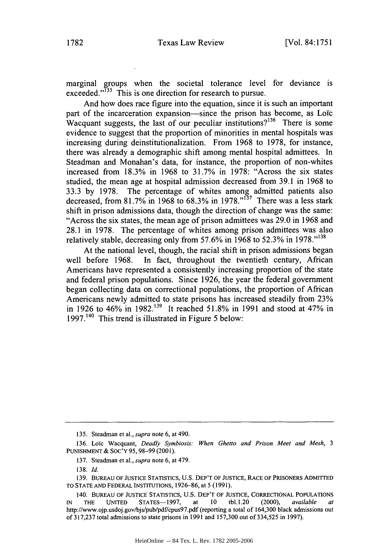marginal groups when the societal tolerance level for deviance is exceeded."<sup>135</sup> This is one direction for research to pursue.

And how does race figure into the equation, since it is such an important part of the incarceration expansion—since the prison has become, as Loïc Wacquant suggests, the last of our peculiar institutions?<sup>136</sup> There is some evidence to suggest that the proportion of minorities in mental hospitals was increasing during deinstitutionalization. From 1968 to 1978, for instance, there was already a demographic shift among mental hospital admittees. In Steadman and Monahan's data, for instance, the proportion of non-whites increased from 18.3% in 1968 to 31.7% in 1978: "Across the six states studied, the mean age at hospital admission decreased from 39.1 in 1968 to 33.3 by 1978. The percentage of whites among admitted patients also decreased, from 81.7% in 1968 to 68.3% in 1978."<sup>137</sup> There was a less stark shift in prison admissions data, though the direction of change was the same: "Across the six states, the mean age of prison admittees was 29.0 in 1968 and 28.1 in 1978. The percentage of whites among prison admittees was also relatively stable, decreasing only from 57.6% in 1968 to 52.3% in 1978."<sup>138</sup>

At the national level, though, the racial shift in prison admissions began well before 1968. In fact, throughout the twentieth century, African Americans have represented a consistently increasing proportion of the state and federal prison populations. Since 1926, the year the federal government began collecting data on correctional populations, the proportion of African Americans newly admitted to state prisons has increased steadily from 23% in 1926 to 46% in 1982.139 It reached 51.8% in 1991 and stood at 47% in 1997.<sup>140</sup> This trend is illustrated in Figure 5 below:

<sup>135.</sup> Steadman et al., *supra* note 6, at 490.

<sup>136.</sup> Loïc Wacquant, *Deadly Symbiosis: When Ghetto and Prison Meet and Mesh*, 3 PUNISHMENT & SOc'Y 95, 98-99 (2001).

<sup>137.</sup> Steadman et al., *supra* note 6, at 479.

<sup>138.</sup> *Id.*

<sup>139.</sup> BUREAU OF JUSTICE STATISTICS, U.S. DEP'T OF JUSTICE, RACE OF PRISONERS ADMITTED TO STATE AND FEDERAL INSTITUTIONS, 1926-86, at 5 (1991).

<sup>140.</sup> BUREAU OF JUSTICE STATISTICS, U.S. DEP'T OF JUSTICE, CORRECTIONAL POPULATIONS *IN* THE UNITED STATES-1997, at 10 tbl. 1.20 (2000), *available at* http://www.ojp.usdoj.gov/bjs/pub/pdf/cpus97.pdf (reporting a total of 164,300 black admissions out of 317,237 total admissions to state prisons in 1991 and 157,300 out of 334,525 in 1997).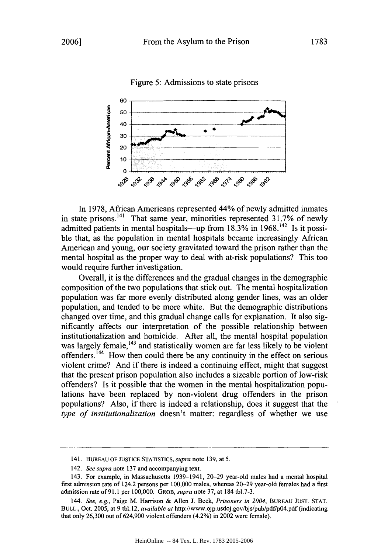Figure 5: Admissions to state prisons



In 1978, African Americans represented 44% of newly admitted inmates in state prisons.<sup>141</sup> That same year, minorities represented 31.7% of newly admitted patients in mental hospitals-up from  $18.3\%$  in  $1968$ .<sup>142</sup> Is it possible that, as the population in mental hospitals became increasingly African American and young, our society gravitated toward the prison rather than the mental hospital as the proper way to deal with at-risk populations? This too would require further investigation.

Overall, it is the differences and the gradual changes in the demographic composition of the two populations that stick out. The mental hospitalization population was far more evenly distributed along gender lines, was an older population, and tended to be more white. But the demographic distributions changed over time, and this gradual change calls for explanation. It also significantly affects our interpretation of the possible relationship between institutionalization and homicide. After all, the mental hospital population was largely female,<sup>143</sup> and statistically women are far less likely to be violent offenders.<sup> $144$ </sup> How then could there be any continuity in the effect on serious violent crime? And if there is indeed a continuing effect, might that suggest that the present prison population also includes a sizeable portion of low-risk offenders? Is it possible that the women in the mental hospitalization populations have been replaced by non-violent drug offenders in the prison populations? Also, if there is indeed a relationship, does it suggest that the *type of institutionalization* doesn't matter: regardless of whether we use

**<sup>141.</sup> BUREAU** OF **JUSTICE** STATISTICS, *supra* note 139, at 5.

<sup>142.</sup> *See supra* note 137 and accompanying text.

<sup>143.</sup> For example, in Massachusetts 1939-1941, 20-29 year-old males had a mental hospital first admission rate of 124.2 persons per 100,000 males, whereas 20-29 year-old females had a first admission rate of 91.1 per 100,000. GROB, *supra* note 37, at 184 tbl.7-3.

*<sup>144.</sup> See, e.g.,* Paige M. Harrison & Allen J. Beck, *Prisoners in* 2004, **BUREAU JUST.** STAT. BULL., Oct. 2005, at 9 tbl.12, *available at* http://www.ojp.usdoj.gov/bjs/pub/pdf/p04.pdf (indicating that only 26,300 out of 624,900 violent offenders (4.2%) in 2002 were female).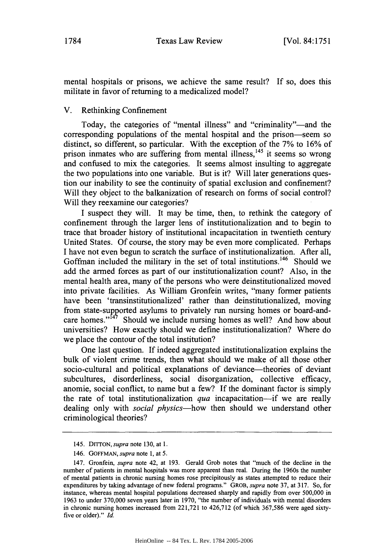mental hospitals or prisons, we achieve the same result? If so, does this militate in favor of returning to a medicalized model?

## V. Rethinking Confinement

Today, the categories of "mental illness" and "criminality"—and the corresponding populations of the mental hospital and the prison-seem so distinct, so different, so particular. With the exception of the 7% to 16% of prison inmates who are suffering from mental illness,<sup>145</sup> it seems so wrong and confused to mix the categories. It seems almost insulting to aggregate the two populations into one variable. But is it? Will later generations question our inability to see the continuity of spatial exclusion and confinement? Will they object to the balkanization of research on forms of social control? Will they reexamine our categories?

I suspect they will. It may be time, then, to rethink the category of confinement through the larger lens of institutionalization and to begin to trace that broader history of institutional incapacitation in twentieth century United States. Of course, the story may be even more complicated. Perhaps I have not even begun to scratch the surface of institutionalization. After all, Goffman included the military in the set of total institutions.<sup>146</sup> Should we add the armed forces as part of our institutionalization count? Also, in the mental health area, many of the persons who were deinstitutionalized moved into private facilities. As William Gronfein writes, "many former patients have been 'transinstitutionalized' rather than deinstitutionalized, moving from state-supported asylums to privately run nursing homes or board-andcare homes."<sup>147</sup> Should we include nursing homes as well? And how about universities? How exactly should we define institutionalization? Where do we place the contour of the total institution?

One last question. If indeed aggregated institutionalization explains the bulk of violent crime trends, then what should we make of all those other socio-cultural and political explanations of deviance—theories of deviant subcultures, disorderliness, social disorganization, collective efficacy, anomie, social conflict, to name but a few? If the dominant factor is simply the rate of total institutionalization *qua* incapacitation-if we are really dealing only with *social physics-how* then should we understand other criminological theories?

<sup>145.</sup> *DITTON, supra* note 130, at 1.

<sup>146.</sup> **GOFFMAN,** *supra* note **1,** at 5.

<sup>147.</sup> Gronfein, *supra* note 42, at 193. Gerald Grob notes that "much of the decline in the number of patients in mental hospitals was more apparent than real. During the 1960s the number of mental patients in chronic nursing homes rose precipitously as states attempted to reduce their expenditures by taking advantage of new federal programs." GROB, *supra* note 37, at 317. So, for instance, whereas mental hospital populations decreased sharply and rapidly from over 500,000 in 1963 to under 370,000 seven years later in 1970, "the number of individuals with mental disorders in chronic nursing homes increased from 221,721 to 426,712 (of which 367,586 were aged sixtyfive or older)." *Id.*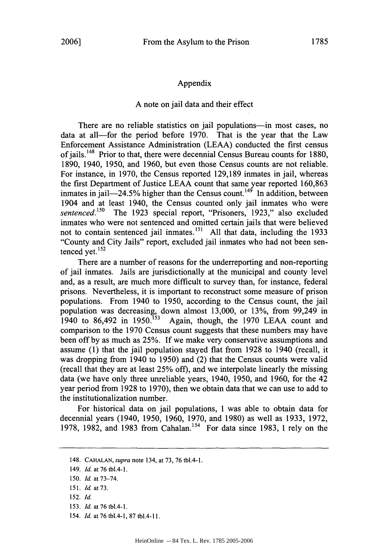#### Appendix

#### A note on jail data and their effect

There are no reliable statistics on jail populations—in most cases, no data at all-for the period before 1970. That is the year that the Law Enforcement Assistance Administration (LEAA) conducted the first census of iails.<sup>148</sup> Prior to that, there were decennial Census Bureau counts for 1880, 1890, 1940, 1950, and 1960, but even those Census counts are not reliable. For instance, in 1970, the Census reported 129,189 inmates in jail, whereas the first Department of Justice LEAA count that same year reported 160,863 inmates in  $i$ ail-24.5% higher than the Census count.<sup>149</sup> In addition, between 1904 and at least 1940, the Census counted only jail inmates who were *sentenced.150* The 1923 special report, "Prisoners, 1923," also excluded inmates who were not sentenced and omitted certain jails that were believed not to contain sentenced jail inmates.<sup>151</sup> All that data, including the 1933 "County and City Jails" report, excluded jail inmates who had not been sentenced yet.<sup>152</sup>

There are a number of reasons for the underreporting and non-reporting of jail inmates. Jails are jurisdictionally at the municipal and county level and, as a result, are much more difficult to survey than, for instance, federal prisons. Nevertheless, it is important to reconstruct some measure of prison populations. From 1940 to 1950, according to the Census count, the jail population was decreasing, down almost 13,000, or 13%, from 99,249 in 1940 to 86,492 in 1950.<sup>153</sup> Again, though, the 1970 LEAA count and Again, though, the 1970 LEAA count and comparison to the 1970 Census count suggests that these numbers may have been off by as much as 25%. If we make very conservative assumptions and assume (1) that the jail population stayed flat from 1928 to 1940 (recall, it was dropping from 1940 to 1950) and (2) that the Census counts were valid (recall that they are at least 25% off), and we interpolate linearly the missing data (we have only three unreliable years, 1940, 1950, and 1960, for the 42 year period from 1928 to 1970), then we obtain data that we can use to add to the institutionalization number.

For historical data on jail populations, I was able to obtain data for decennial years (1940, 1950, 1960, 1970, and 1980) as well as 1933, 1972, 1978, 1982, and 1983 from Cahalan.<sup>154</sup> For data since 1983, 1 rely on the

- 152. *Id.*
- 153. *Id.* at 76 tbl.4-1.
- 154. *Id.* at 76 tbl.4-1, 87 tbl.4-11.

<sup>148.</sup> *CAHALAN, supra* note 134, at 73, 76 tbl.4-1.

<sup>149.</sup> *Id.* at 76 tbl.4-1.

<sup>150.</sup> *Id.* at 73-74.

<sup>151.</sup> *Id.* at73.